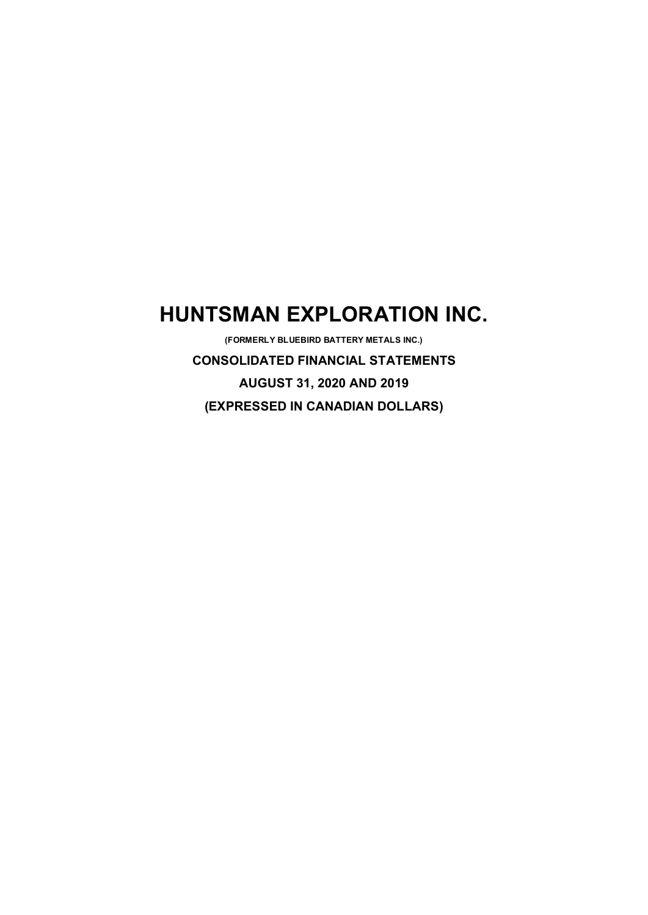# **HUNTSMAN EXPLORATION INC.**

**(FORMERLY BLUEBIRD BATTERY METALS INC.) CONSOLIDATED FINANCIAL STATEMENTS AUGUST 31, 2020 AND 2019 (EXPRESSED IN CANADIAN DOLLARS)**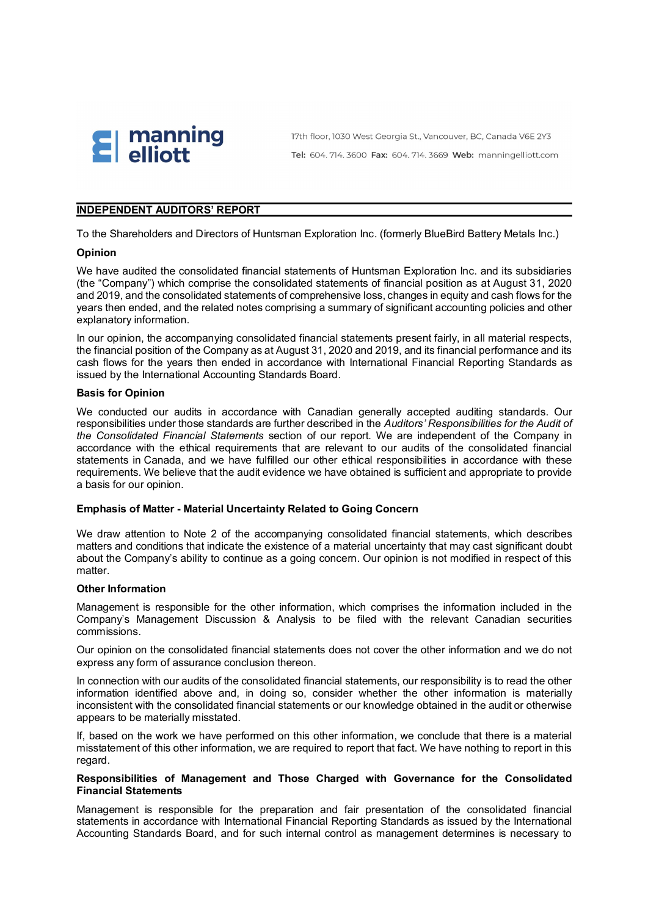

17th floor, 1030 West Georgia St., Vancouver, BC, Canada V6E 2Y3 Tel: 604. 714. 3600 Fax: 604. 714. 3669 Web: manningelliott.com

## **INDEPENDENT AUDITORS' REPORT**

To the Shareholders and Directors of Huntsman Exploration Inc. (formerly BlueBird Battery Metals Inc.)

#### **Opinion**

We have audited the consolidated financial statements of Huntsman Exploration Inc. and its subsidiaries (the "Company") which comprise the consolidated statements of financial position as at August 31, 2020 and 2019, and the consolidated statements of comprehensive loss, changes in equity and cash flows for the years then ended, and the related notes comprising a summary of significant accounting policies and other explanatory information.

In our opinion, the accompanying consolidated financial statements present fairly, in all material respects, the financial position of the Company as at August 31, 2020 and 2019, and its financial performance and its cash flows for the years then ended in accordance with International Financial Reporting Standards as issued by the International Accounting Standards Board.

#### **Basis for Opinion**

We conducted our audits in accordance with Canadian generally accepted auditing standards. Our responsibilities under those standards are further described in the *Auditors' Responsibilities for the Audit of the Consolidated Financial Statements* section of our report. We are independent of the Company in accordance with the ethical requirements that are relevant to our audits of the consolidated financial statements in Canada, and we have fulfilled our other ethical responsibilities in accordance with these requirements. We believe that the audit evidence we have obtained is sufficient and appropriate to provide a basis for our opinion.

#### **Emphasis of Matter - Material Uncertainty Related to Going Concern**

We draw attention to Note 2 of the accompanying consolidated financial statements, which describes matters and conditions that indicate the existence of a material uncertainty that may cast significant doubt about the Company's ability to continue as a going concern. Our opinion is not modified in respect of this matter.

# **Other Information**

Management is responsible for the other information, which comprises the information included in the Company's Management Discussion & Analysis to be filed with the relevant Canadian securities commissions.

Our opinion on the consolidated financial statements does not cover the other information and we do not express any form of assurance conclusion thereon.

In connection with our audits of the consolidated financial statements, our responsibility is to read the other information identified above and, in doing so, consider whether the other information is materially inconsistent with the consolidated financial statements or our knowledge obtained in the audit or otherwise appears to be materially misstated.

If, based on the work we have performed on this other information, we conclude that there is a material misstatement of this other information, we are required to report that fact. We have nothing to report in this regard.

## **Responsibilities of Management and Those Charged with Governance for the Consolidated Financial Statements**

Management is responsible for the preparation and fair presentation of the consolidated financial statements in accordance with International Financial Reporting Standards as issued by the International Accounting Standards Board, and for such internal control as management determines is necessary to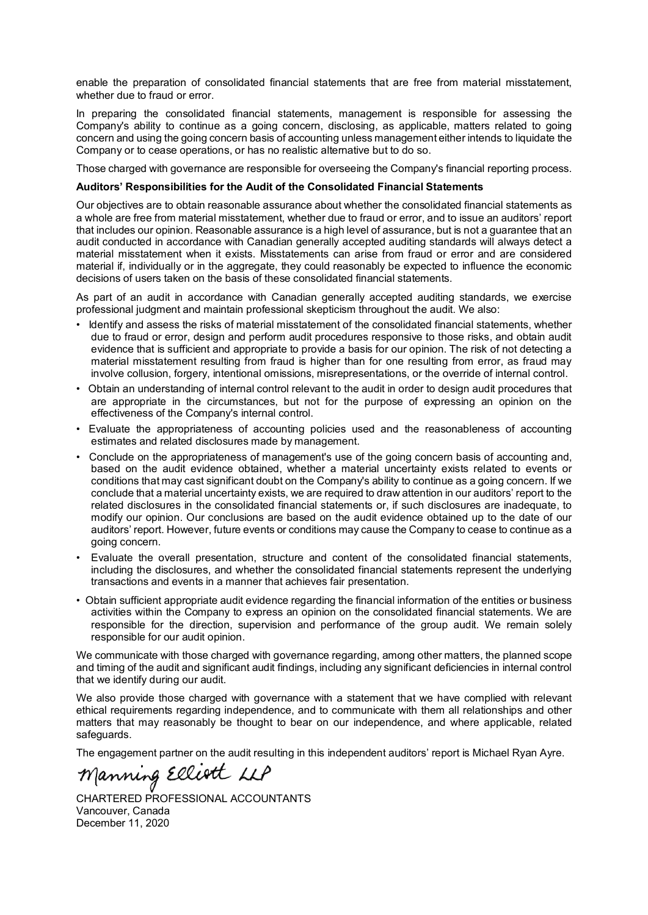enable the preparation of consolidated financial statements that are free from material misstatement, whether due to fraud or error.

In preparing the consolidated financial statements, management is responsible for assessing the Company's ability to continue as a going concern, disclosing, as applicable, matters related to going concern and using the going concern basis of accounting unless management either intends to liquidate the Company or to cease operations, or has no realistic alternative but to do so.

Those charged with governance are responsible for overseeing the Company's financial reporting process.

#### **Auditors' Responsibilities for the Audit of the Consolidated Financial Statements**

Our objectives are to obtain reasonable assurance about whether the consolidated financial statements as a whole are free from material misstatement, whether due to fraud or error, and to issue an auditors' report that includes our opinion. Reasonable assurance is a high level of assurance, but is not a guarantee that an audit conducted in accordance with Canadian generally accepted auditing standards will always detect a material misstatement when it exists. Misstatements can arise from fraud or error and are considered material if, individually or in the aggregate, they could reasonably be expected to influence the economic decisions of users taken on the basis of these consolidated financial statements.

As part of an audit in accordance with Canadian generally accepted auditing standards, we exercise professional judgment and maintain professional skepticism throughout the audit. We also:

- Identify and assess the risks of material misstatement of the consolidated financial statements, whether due to fraud or error, design and perform audit procedures responsive to those risks, and obtain audit evidence that is sufficient and appropriate to provide a basis for our opinion. The risk of not detecting a material misstatement resulting from fraud is higher than for one resulting from error, as fraud may involve collusion, forgery, intentional omissions, misrepresentations, or the override of internal control.
- Obtain an understanding of internal control relevant to the audit in order to design audit procedures that are appropriate in the circumstances, but not for the purpose of expressing an opinion on the effectiveness of the Company's internal control.
- Evaluate the appropriateness of accounting policies used and the reasonableness of accounting estimates and related disclosures made by management.
- Conclude on the appropriateness of management's use of the going concern basis of accounting and, based on the audit evidence obtained, whether a material uncertainty exists related to events or conditions that may cast significant doubt on the Company's ability to continue as a going concern. If we conclude that a material uncertainty exists, we are required to draw attention in our auditors' report to the related disclosures in the consolidated financial statements or, if such disclosures are inadequate, to modify our opinion. Our conclusions are based on the audit evidence obtained up to the date of our auditors' report. However, future events or conditions may cause the Company to cease to continue as a going concern.
- Evaluate the overall presentation, structure and content of the consolidated financial statements, including the disclosures, and whether the consolidated financial statements represent the underlying transactions and events in a manner that achieves fair presentation.
- Obtain sufficient appropriate audit evidence regarding the financial information of the entities or business activities within the Company to express an opinion on the consolidated financial statements. We are responsible for the direction, supervision and performance of the group audit. We remain solely responsible for our audit opinion.

We communicate with those charged with governance regarding, among other matters, the planned scope and timing of the audit and significant audit findings, including any significant deficiencies in internal control that we identify during our audit.

We also provide those charged with governance with a statement that we have complied with relevant ethical requirements regarding independence, and to communicate with them all relationships and other matters that may reasonably be thought to bear on our independence, and where applicable, related safeguards.

The engagement partner on the audit resulting in this independent auditors' report is Michael Ryan Ayre.

Manning Elliott LLP

CHARTERED PROFESSIONAL ACCOUNTANTS Vancouver, Canada December 11, 2020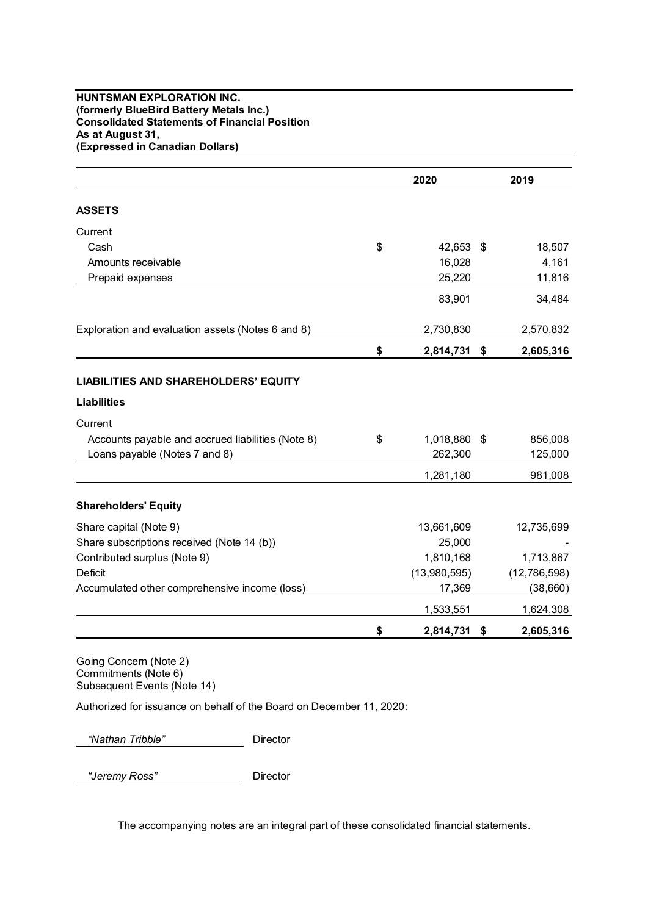## **HUNTSMAN EXPLORATION INC. (formerly BlueBird Battery Metals Inc.) Consolidated Statements of Financial Position As at August 31, (Expressed in Canadian Dollars)**

|                                                   | 2020            |    | 2019         |
|---------------------------------------------------|-----------------|----|--------------|
| <b>ASSETS</b>                                     |                 |    |              |
| Current                                           |                 |    |              |
| Cash                                              | \$<br>42,653 \$ |    | 18,507       |
| Amounts receivable                                | 16,028          |    | 4,161        |
| Prepaid expenses                                  | 25,220          |    | 11,816       |
|                                                   | 83,901          |    | 34,484       |
| Exploration and evaluation assets (Notes 6 and 8) | 2,730,830       |    | 2,570,832    |
|                                                   | \$<br>2,814,731 | \$ | 2,605,316    |
| <b>LIABILITIES AND SHAREHOLDERS' EQUITY</b>       |                 |    |              |
| <b>Liabilities</b>                                |                 |    |              |
| Current                                           |                 |    |              |
| Accounts payable and accrued liabilities (Note 8) | \$<br>1,018,880 | \$ | 856,008      |
| Loans payable (Notes 7 and 8)                     | 262,300         |    | 125,000      |
|                                                   | 1,281,180       |    | 981,008      |
| <b>Shareholders' Equity</b>                       |                 |    |              |
| Share capital (Note 9)                            | 13,661,609      |    | 12,735,699   |
| Share subscriptions received (Note 14 (b))        | 25,000          |    |              |
| Contributed surplus (Note 9)                      | 1,810,168       |    | 1,713,867    |
| <b>Deficit</b>                                    | (13,980,595)    |    | (12,786,598) |
| Accumulated other comprehensive income (loss)     | 17,369          |    | (38, 660)    |
|                                                   | 1,533,551       |    | 1,624,308    |
|                                                   | \$<br>2,814,731 | \$ | 2,605,316    |

Going Concern (Note 2) Commitments (Note 6) Subsequent Events (Note 14)

Authorized for issuance on behalf of the Board on December 11, 2020:

*"Nathan Tribble"* Director

*"Jeremy Ross"* Director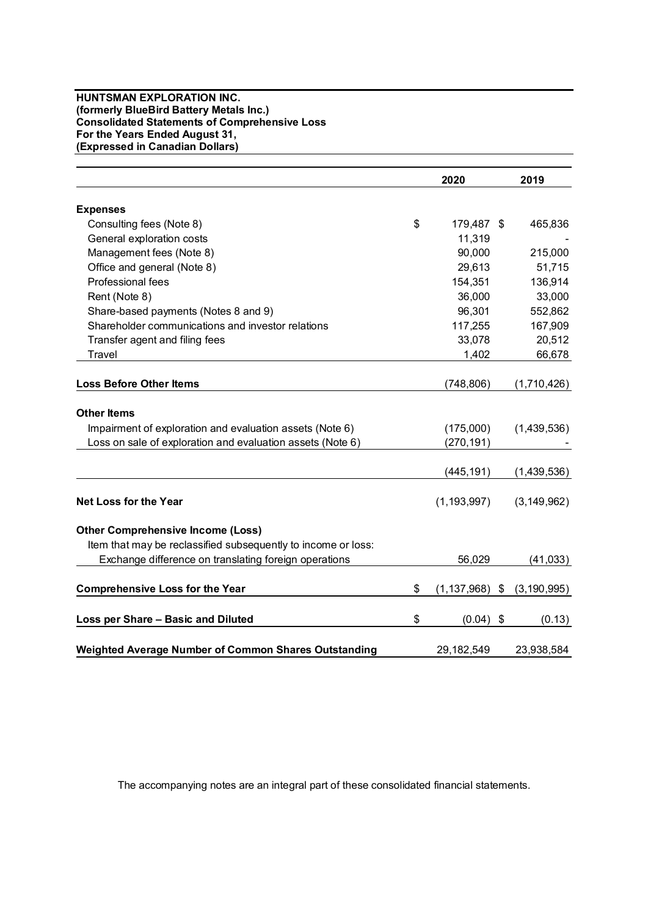#### **HUNTSMAN EXPLORATION INC. (formerly BlueBird Battery Metals Inc.) Consolidated Statements of Comprehensive Loss For the Years Ended August 31, (Expressed in Canadian Dollars)**

|                                                                                                                                              | 2020                     | 2019          |
|----------------------------------------------------------------------------------------------------------------------------------------------|--------------------------|---------------|
| <b>Expenses</b>                                                                                                                              |                          |               |
| Consulting fees (Note 8)                                                                                                                     | \$<br>179,487 \$         | 465,836       |
| General exploration costs                                                                                                                    | 11,319                   |               |
| Management fees (Note 8)                                                                                                                     | 90,000                   | 215,000       |
| Office and general (Note 8)                                                                                                                  | 29,613                   | 51,715        |
| Professional fees                                                                                                                            | 154,351                  | 136,914       |
| Rent (Note 8)                                                                                                                                | 36,000                   | 33,000        |
| Share-based payments (Notes 8 and 9)                                                                                                         | 96,301                   | 552,862       |
| Shareholder communications and investor relations                                                                                            | 117,255                  | 167,909       |
| Transfer agent and filing fees                                                                                                               | 33,078                   | 20,512        |
| Travel                                                                                                                                       | 1,402                    | 66,678        |
| <b>Loss Before Other Items</b>                                                                                                               | (748, 806)               | (1,710,426)   |
| <b>Other Items</b><br>Impairment of exploration and evaluation assets (Note 6)<br>Loss on sale of exploration and evaluation assets (Note 6) | (175,000)<br>(270, 191)  | (1,439,536)   |
|                                                                                                                                              | (445, 191)               | (1,439,536)   |
| <b>Net Loss for the Year</b>                                                                                                                 | (1, 193, 997)            | (3, 149, 962) |
| <b>Other Comprehensive Income (Loss)</b>                                                                                                     |                          |               |
| Item that may be reclassified subsequently to income or loss:                                                                                |                          |               |
| Exchange difference on translating foreign operations                                                                                        | 56,029                   | (41, 033)     |
| <b>Comprehensive Loss for the Year</b>                                                                                                       | \$<br>$(1, 137, 968)$ \$ | (3, 190, 995) |
| Loss per Share - Basic and Diluted                                                                                                           | \$<br>(0.04)             | \$<br>(0.13)  |
| <b>Weighted Average Number of Common Shares Outstanding</b>                                                                                  | 29,182,549               | 23,938,584    |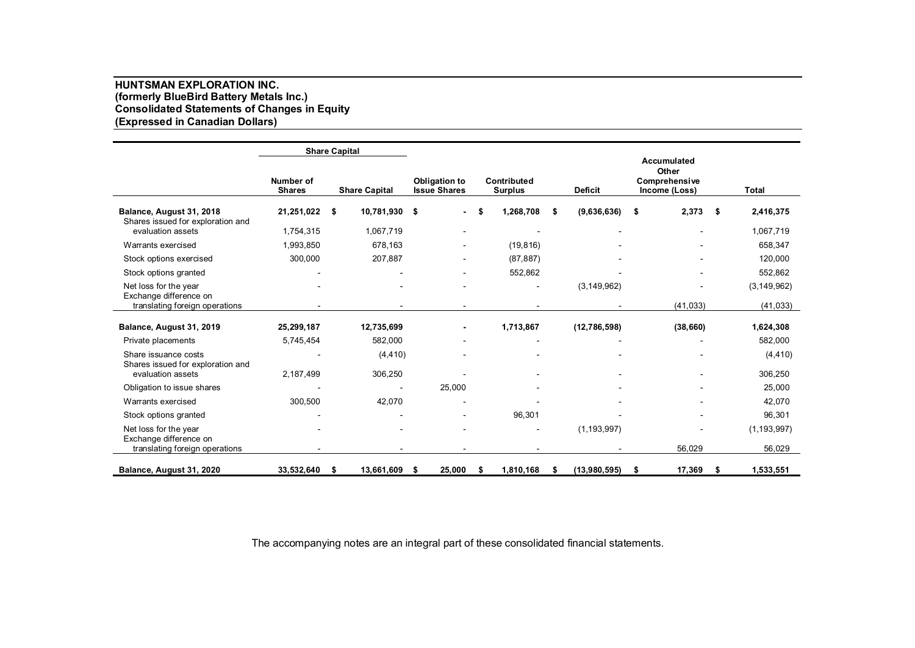## **HUNTSMAN EXPLORATION INC. (formerly BlueBird Battery Metals Inc.) Consolidated Statements of Changes in Equity (Expressed in Canadian Dollars)**

|                                                                                    |                            | <b>Share Capital</b>              |                                             |                               |                    |                                                               |                                |
|------------------------------------------------------------------------------------|----------------------------|-----------------------------------|---------------------------------------------|-------------------------------|--------------------|---------------------------------------------------------------|--------------------------------|
|                                                                                    | Number of<br><b>Shares</b> | <b>Share Capital</b>              | <b>Obligation to</b><br><b>Issue Shares</b> | Contributed<br><b>Surplus</b> | <b>Deficit</b>     | <b>Accumulated</b><br>Other<br>Comprehensive<br>Income (Loss) | Total                          |
| Balance, August 31, 2018<br>Shares issued for exploration and<br>evaluation assets | 21,251,022<br>1,754,315    | 10,781,930 \$<br>-\$<br>1,067,719 |                                             | 1,268,708                     | (9,636,636)<br>S   | 2,373<br>S                                                    | 2,416,375<br>- \$<br>1,067,719 |
| Warrants exercised                                                                 | 1,993,850                  | 678,163                           |                                             | (19, 816)                     |                    |                                                               | 658,347                        |
| Stock options exercised                                                            | 300,000                    | 207,887                           |                                             | (87, 887)                     |                    |                                                               | 120,000                        |
| Stock options granted                                                              |                            |                                   |                                             | 552,862                       |                    |                                                               | 552,862                        |
| Net loss for the year<br>Exchange difference on                                    |                            |                                   |                                             |                               | (3, 149, 962)      |                                                               | (3, 149, 962)                  |
| translating foreign operations                                                     |                            |                                   |                                             |                               |                    | (41, 033)                                                     | (41, 033)                      |
| Balance, August 31, 2019                                                           | 25,299,187                 | 12,735,699                        | ۰                                           | 1,713,867                     | (12, 786, 598)     | (38, 660)                                                     | 1,624,308                      |
| Private placements                                                                 | 5,745,454                  | 582,000                           |                                             |                               |                    |                                                               | 582,000                        |
| Share issuance costs<br>Shares issued for exploration and                          |                            | (4, 410)                          |                                             |                               |                    |                                                               | (4, 410)                       |
| evaluation assets                                                                  | 2,187,499                  | 306,250                           |                                             |                               |                    |                                                               | 306,250                        |
| Obligation to issue shares                                                         |                            |                                   | 25,000                                      |                               |                    |                                                               | 25,000                         |
| Warrants exercised                                                                 | 300,500                    | 42,070                            |                                             |                               |                    |                                                               | 42,070                         |
| Stock options granted                                                              |                            |                                   |                                             | 96,301                        |                    |                                                               | 96,301                         |
| Net loss for the year<br>Exchange difference on                                    |                            |                                   |                                             |                               | (1, 193, 997)      |                                                               | (1, 193, 997)                  |
| translating foreign operations                                                     |                            |                                   |                                             |                               |                    | 56,029                                                        | 56,029                         |
| Balance, August 31, 2020                                                           | 33,532,640                 | 13,661,609<br>\$                  | 25,000<br>S                                 | 1,810,168<br>\$               | (13,980,595)<br>\$ | 17,369<br>S                                                   | 1,533,551<br>\$                |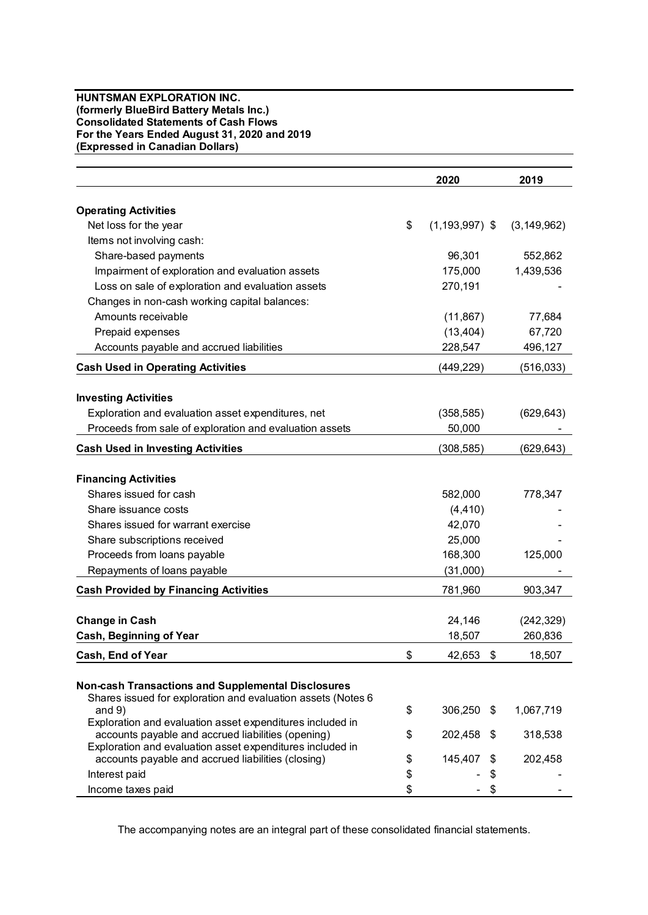#### **HUNTSMAN EXPLORATION INC. (formerly BlueBird Battery Metals Inc.) Consolidated Statements of Cash Flows For the Years Ended August 31, 2020 and 2019 (Expressed in Canadian Dollars)**

|                                                                          | 2020                     | 2019          |
|--------------------------------------------------------------------------|--------------------------|---------------|
|                                                                          |                          |               |
| <b>Operating Activities</b>                                              |                          |               |
| Net loss for the year                                                    | \$<br>$(1, 193, 997)$ \$ | (3, 149, 962) |
| Items not involving cash:                                                |                          |               |
| Share-based payments                                                     | 96,301                   | 552,862       |
| Impairment of exploration and evaluation assets                          | 175,000                  | 1,439,536     |
| Loss on sale of exploration and evaluation assets                        | 270,191                  |               |
| Changes in non-cash working capital balances:                            |                          |               |
| Amounts receivable                                                       | (11, 867)                | 77,684        |
| Prepaid expenses                                                         | (13, 404)                | 67,720        |
| Accounts payable and accrued liabilities                                 | 228,547                  | 496,127       |
| <b>Cash Used in Operating Activities</b>                                 | (449,229)                | (516,033)     |
|                                                                          |                          |               |
| <b>Investing Activities</b>                                              |                          |               |
| Exploration and evaluation asset expenditures, net                       | (358, 585)               | (629, 643)    |
| Proceeds from sale of exploration and evaluation assets                  | 50,000                   |               |
| <b>Cash Used in Investing Activities</b>                                 | (308, 585)               | (629, 643)    |
| <b>Financing Activities</b>                                              |                          |               |
| Shares issued for cash                                                   | 582,000                  | 778,347       |
| Share issuance costs                                                     | (4, 410)                 |               |
| Shares issued for warrant exercise                                       | 42,070                   |               |
| Share subscriptions received                                             | 25,000                   |               |
| Proceeds from loans payable                                              | 168,300                  | 125,000       |
| Repayments of loans payable                                              | (31,000)                 |               |
|                                                                          |                          |               |
| <b>Cash Provided by Financing Activities</b>                             | 781,960                  | 903,347       |
| <b>Change in Cash</b>                                                    | 24,146                   | (242, 329)    |
| Cash, Beginning of Year                                                  | 18,507                   | 260,836       |
| <b>Cash. End of Year</b>                                                 | \$<br>42,653<br>-\$      | 18.507        |
|                                                                          |                          |               |
| <b>Non-cash Transactions and Supplemental Disclosures</b>                |                          |               |
| Shares issued for exploration and evaluation assets (Notes 6<br>and $9)$ | \$<br>306,250 \$         | 1,067,719     |
| Exploration and evaluation asset expenditures included in                |                          |               |
| accounts payable and accrued liabilities (opening)                       | \$<br>202,458<br>S       | 318,538       |
| Exploration and evaluation asset expenditures included in                |                          |               |
| accounts payable and accrued liabilities (closing)                       | \$<br>145,407            | 202,458       |
| Interest paid                                                            | \$<br>\$                 |               |
| Income taxes paid                                                        | \$                       |               |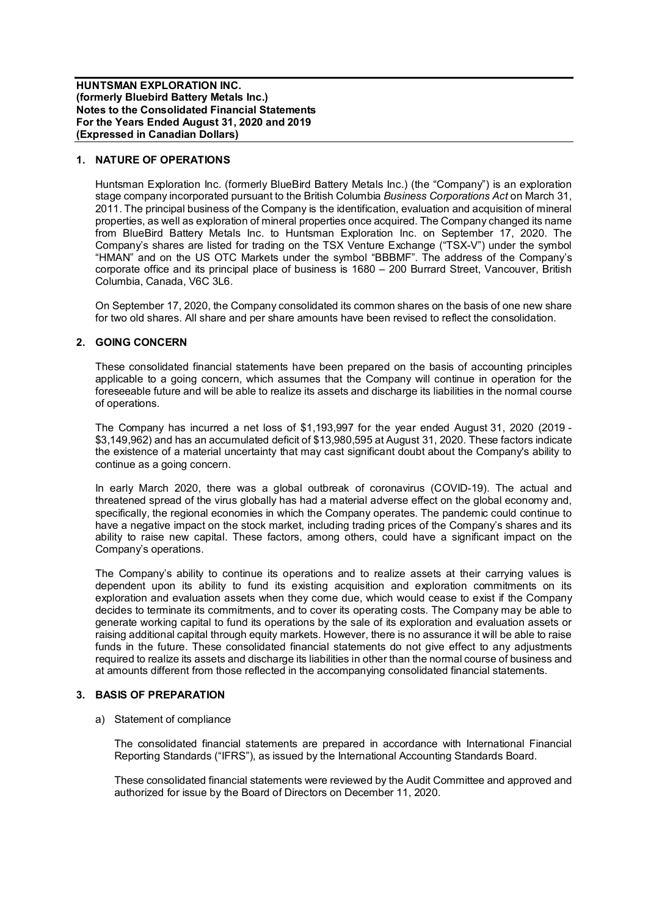## **1. NATURE OF OPERATIONS**

Huntsman Exploration Inc. (formerly BlueBird Battery Metals Inc.) (the "Company") is an exploration stage company incorporated pursuant to the British Columbia *Business Corporations Act* on March 31, 2011. The principal business of the Company is the identification, evaluation and acquisition of mineral properties, as well as exploration of mineral properties once acquired. The Company changed its name from BlueBird Battery Metals Inc. to Huntsman Exploration Inc. on September 17, 2020. The Company's shares are listed for trading on the TSX Venture Exchange ("TSX-V") under the symbol "HMAN" and on the US OTC Markets under the symbol "BBBMF". The address of the Company's corporate office and its principal place of business is 1680 – 200 Burrard Street, Vancouver, British Columbia, Canada, V6C 3L6.

On September 17, 2020, the Company consolidated its common shares on the basis of one new share for two old shares. All share and per share amounts have been revised to reflect the consolidation.

## **2. GOING CONCERN**

These consolidated financial statements have been prepared on the basis of accounting principles applicable to a going concern, which assumes that the Company will continue in operation for the foreseeable future and will be able to realize its assets and discharge its liabilities in the normal course of operations.

The Company has incurred a net loss of \$1,193,997 for the year ended August 31, 2020 (2019 - \$3,149,962) and has an accumulated deficit of \$13,980,595 at August 31, 2020. These factors indicate the existence of a material uncertainty that may cast significant doubt about the Company's ability to continue as a going concern.

In early March 2020, there was a global outbreak of coronavirus (COVID-19). The actual and threatened spread of the virus globally has had a material adverse effect on the global economy and, specifically, the regional economies in which the Company operates. The pandemic could continue to have a negative impact on the stock market, including trading prices of the Company's shares and its ability to raise new capital. These factors, among others, could have a significant impact on the Company's operations.

The Company's ability to continue its operations and to realize assets at their carrying values is dependent upon its ability to fund its existing acquisition and exploration commitments on its exploration and evaluation assets when they come due, which would cease to exist if the Company decides to terminate its commitments, and to cover its operating costs. The Company may be able to generate working capital to fund its operations by the sale of its exploration and evaluation assets or raising additional capital through equity markets. However, there is no assurance it will be able to raise funds in the future. These consolidated financial statements do not give effect to any adjustments required to realize its assets and discharge its liabilities in other than the normal course of business and at amounts different from those reflected in the accompanying consolidated financial statements.

## **3. BASIS OF PREPARATION**

#### a) Statement of compliance

The consolidated financial statements are prepared in accordance with International Financial Reporting Standards ("IFRS"), as issued by the International Accounting Standards Board.

These consolidated financial statements were reviewed by the Audit Committee and approved and authorized for issue by the Board of Directors on December 11, 2020.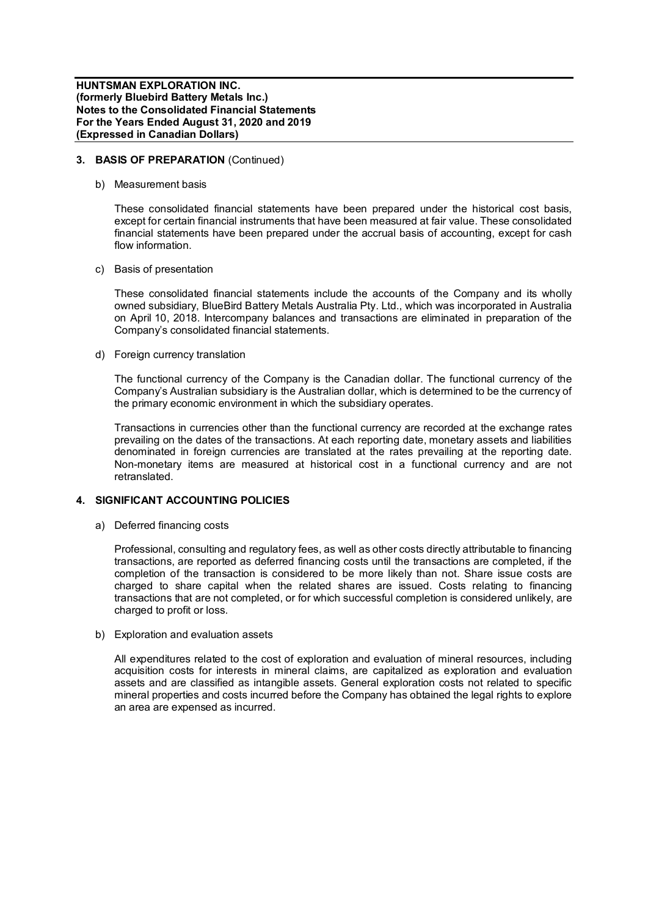## **3. BASIS OF PREPARATION** (Continued)

b) Measurement basis

These consolidated financial statements have been prepared under the historical cost basis, except for certain financial instruments that have been measured at fair value. These consolidated financial statements have been prepared under the accrual basis of accounting, except for cash flow information.

c) Basis of presentation

These consolidated financial statements include the accounts of the Company and its wholly owned subsidiary, BlueBird Battery Metals Australia Pty. Ltd., which was incorporated in Australia on April 10, 2018. Intercompany balances and transactions are eliminated in preparation of the Company's consolidated financial statements.

d) Foreign currency translation

The functional currency of the Company is the Canadian dollar. The functional currency of the Company's Australian subsidiary is the Australian dollar, which is determined to be the currency of the primary economic environment in which the subsidiary operates.

Transactions in currencies other than the functional currency are recorded at the exchange rates prevailing on the dates of the transactions. At each reporting date, monetary assets and liabilities denominated in foreign currencies are translated at the rates prevailing at the reporting date. Non-monetary items are measured at historical cost in a functional currency and are not retranslated.

## **4. SIGNIFICANT ACCOUNTING POLICIES**

a) Deferred financing costs

Professional, consulting and regulatory fees, as well as other costs directly attributable to financing transactions, are reported as deferred financing costs until the transactions are completed, if the completion of the transaction is considered to be more likely than not. Share issue costs are charged to share capital when the related shares are issued. Costs relating to financing transactions that are not completed, or for which successful completion is considered unlikely, are charged to profit or loss.

b) Exploration and evaluation assets

All expenditures related to the cost of exploration and evaluation of mineral resources, including acquisition costs for interests in mineral claims, are capitalized as exploration and evaluation assets and are classified as intangible assets. General exploration costs not related to specific mineral properties and costs incurred before the Company has obtained the legal rights to explore an area are expensed as incurred.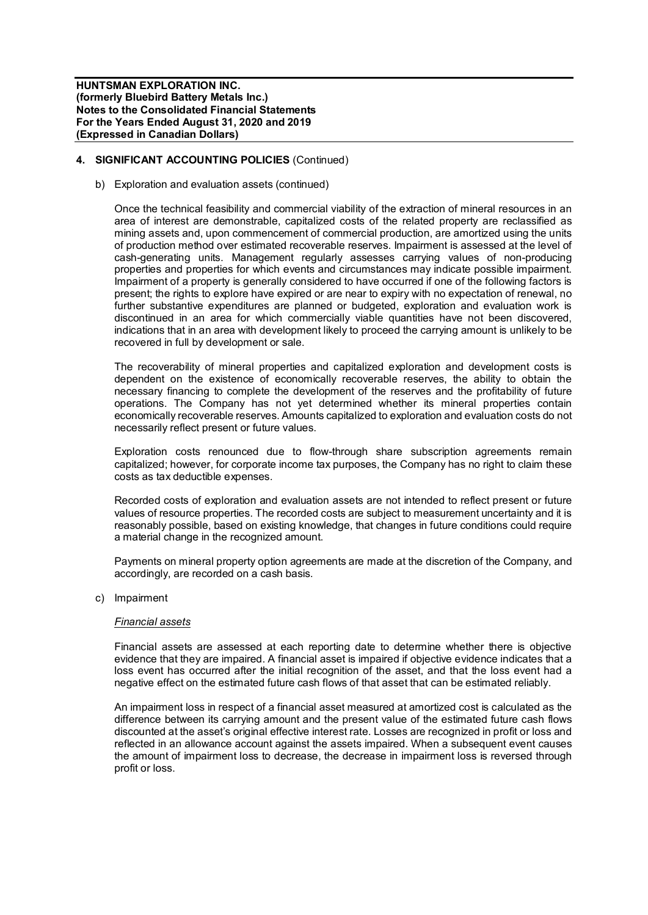# **4. SIGNIFICANT ACCOUNTING POLICIES** (Continued)

b) Exploration and evaluation assets (continued)

Once the technical feasibility and commercial viability of the extraction of mineral resources in an area of interest are demonstrable, capitalized costs of the related property are reclassified as mining assets and, upon commencement of commercial production, are amortized using the units of production method over estimated recoverable reserves. Impairment is assessed at the level of cash-generating units. Management regularly assesses carrying values of non-producing properties and properties for which events and circumstances may indicate possible impairment. Impairment of a property is generally considered to have occurred if one of the following factors is present; the rights to explore have expired or are near to expiry with no expectation of renewal, no further substantive expenditures are planned or budgeted, exploration and evaluation work is discontinued in an area for which commercially viable quantities have not been discovered, indications that in an area with development likely to proceed the carrying amount is unlikely to be recovered in full by development or sale.

The recoverability of mineral properties and capitalized exploration and development costs is dependent on the existence of economically recoverable reserves, the ability to obtain the necessary financing to complete the development of the reserves and the profitability of future operations. The Company has not yet determined whether its mineral properties contain economically recoverable reserves. Amounts capitalized to exploration and evaluation costs do not necessarily reflect present or future values.

Exploration costs renounced due to flow-through share subscription agreements remain capitalized; however, for corporate income tax purposes, the Company has no right to claim these costs as tax deductible expenses.

Recorded costs of exploration and evaluation assets are not intended to reflect present or future values of resource properties. The recorded costs are subject to measurement uncertainty and it is reasonably possible, based on existing knowledge, that changes in future conditions could require a material change in the recognized amount.

Payments on mineral property option agreements are made at the discretion of the Company, and accordingly, are recorded on a cash basis.

c) Impairment

#### *Financial assets*

Financial assets are assessed at each reporting date to determine whether there is objective evidence that they are impaired. A financial asset is impaired if objective evidence indicates that a loss event has occurred after the initial recognition of the asset, and that the loss event had a negative effect on the estimated future cash flows of that asset that can be estimated reliably.

An impairment loss in respect of a financial asset measured at amortized cost is calculated as the difference between its carrying amount and the present value of the estimated future cash flows discounted at the asset's original effective interest rate. Losses are recognized in profit or loss and reflected in an allowance account against the assets impaired. When a subsequent event causes the amount of impairment loss to decrease, the decrease in impairment loss is reversed through profit or loss.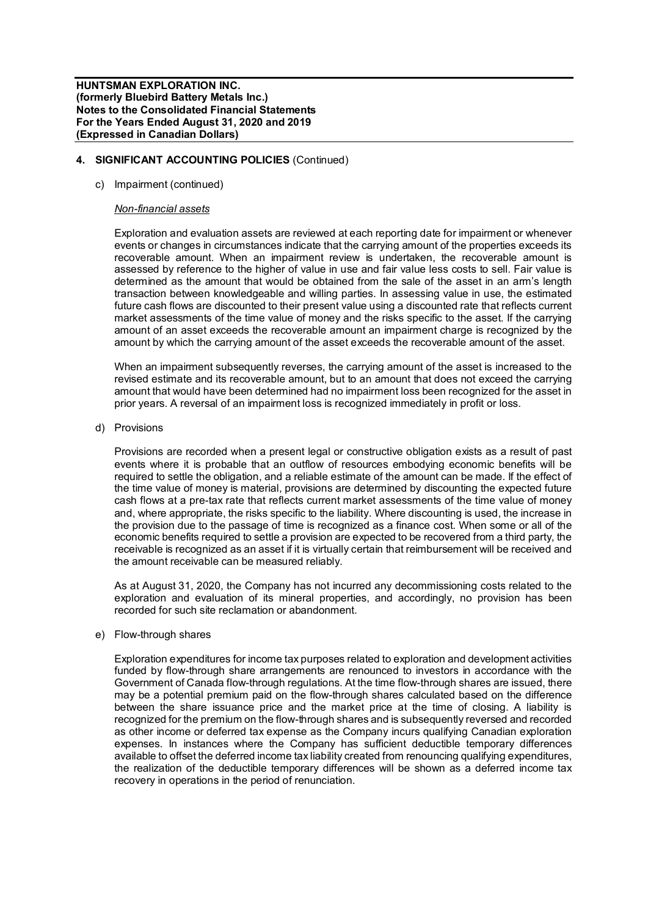## **4. SIGNIFICANT ACCOUNTING POLICIES** (Continued)

## c) Impairment (continued)

#### *Non-financial assets*

Exploration and evaluation assets are reviewed at each reporting date for impairment or whenever events or changes in circumstances indicate that the carrying amount of the properties exceeds its recoverable amount. When an impairment review is undertaken, the recoverable amount is assessed by reference to the higher of value in use and fair value less costs to sell. Fair value is determined as the amount that would be obtained from the sale of the asset in an arm's length transaction between knowledgeable and willing parties. In assessing value in use, the estimated future cash flows are discounted to their present value using a discounted rate that reflects current market assessments of the time value of money and the risks specific to the asset. If the carrying amount of an asset exceeds the recoverable amount an impairment charge is recognized by the amount by which the carrying amount of the asset exceeds the recoverable amount of the asset.

When an impairment subsequently reverses, the carrying amount of the asset is increased to the revised estimate and its recoverable amount, but to an amount that does not exceed the carrying amount that would have been determined had no impairment loss been recognized for the asset in prior years. A reversal of an impairment loss is recognized immediately in profit or loss.

d) Provisions

Provisions are recorded when a present legal or constructive obligation exists as a result of past events where it is probable that an outflow of resources embodying economic benefits will be required to settle the obligation, and a reliable estimate of the amount can be made. If the effect of the time value of money is material, provisions are determined by discounting the expected future cash flows at a pre-tax rate that reflects current market assessments of the time value of money and, where appropriate, the risks specific to the liability. Where discounting is used, the increase in the provision due to the passage of time is recognized as a finance cost. When some or all of the economic benefits required to settle a provision are expected to be recovered from a third party, the receivable is recognized as an asset if it is virtually certain that reimbursement will be received and the amount receivable can be measured reliably.

As at August 31, 2020, the Company has not incurred any decommissioning costs related to the exploration and evaluation of its mineral properties, and accordingly, no provision has been recorded for such site reclamation or abandonment.

## e) Flow-through shares

Exploration expenditures for income tax purposes related to exploration and development activities funded by flow-through share arrangements are renounced to investors in accordance with the Government of Canada flow-through regulations. At the time flow-through shares are issued, there may be a potential premium paid on the flow-through shares calculated based on the difference between the share issuance price and the market price at the time of closing. A liability is recognized for the premium on the flow-through shares and is subsequently reversed and recorded as other income or deferred tax expense as the Company incurs qualifying Canadian exploration expenses. In instances where the Company has sufficient deductible temporary differences available to offset the deferred income tax liability created from renouncing qualifying expenditures, the realization of the deductible temporary differences will be shown as a deferred income tax recovery in operations in the period of renunciation.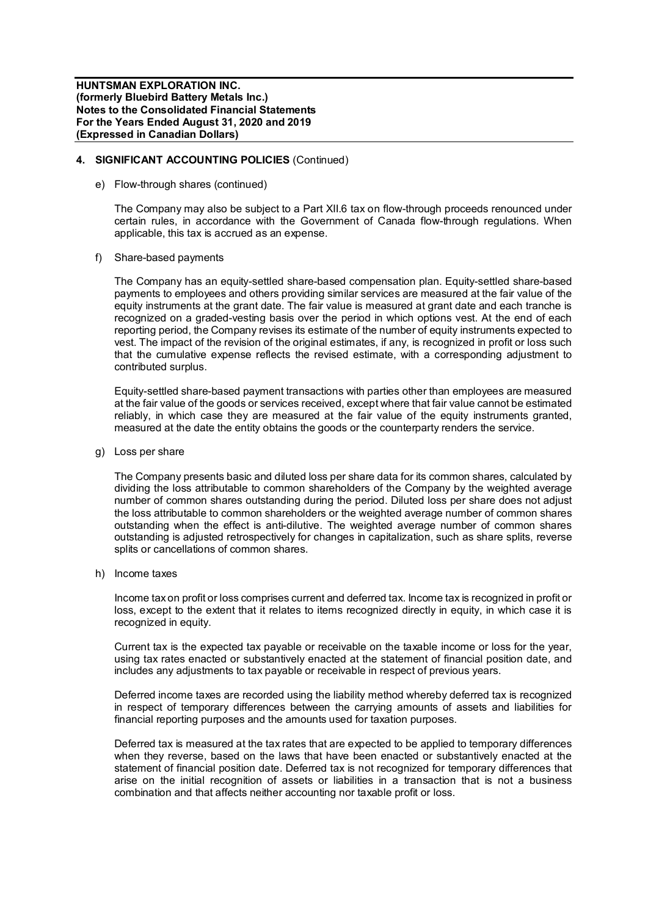## **4. SIGNIFICANT ACCOUNTING POLICIES** (Continued)

e) Flow-through shares (continued)

The Company may also be subject to a Part XII.6 tax on flow-through proceeds renounced under certain rules, in accordance with the Government of Canada flow-through regulations. When applicable, this tax is accrued as an expense.

f) Share-based payments

The Company has an equity-settled share-based compensation plan. Equity-settled share-based payments to employees and others providing similar services are measured at the fair value of the equity instruments at the grant date. The fair value is measured at grant date and each tranche is recognized on a graded-vesting basis over the period in which options vest. At the end of each reporting period, the Company revises its estimate of the number of equity instruments expected to vest. The impact of the revision of the original estimates, if any, is recognized in profit or loss such that the cumulative expense reflects the revised estimate, with a corresponding adjustment to contributed surplus.

Equity-settled share-based payment transactions with parties other than employees are measured at the fair value of the goods or services received, except where that fair value cannot be estimated reliably, in which case they are measured at the fair value of the equity instruments granted, measured at the date the entity obtains the goods or the counterparty renders the service.

g) Loss per share

The Company presents basic and diluted loss per share data for its common shares, calculated by dividing the loss attributable to common shareholders of the Company by the weighted average number of common shares outstanding during the period. Diluted loss per share does not adjust the loss attributable to common shareholders or the weighted average number of common shares outstanding when the effect is anti-dilutive. The weighted average number of common shares outstanding is adjusted retrospectively for changes in capitalization, such as share splits, reverse splits or cancellations of common shares.

h) Income taxes

Income tax on profit or loss comprises current and deferred tax. Income tax is recognized in profit or loss, except to the extent that it relates to items recognized directly in equity, in which case it is recognized in equity.

Current tax is the expected tax payable or receivable on the taxable income or loss for the year, using tax rates enacted or substantively enacted at the statement of financial position date, and includes any adjustments to tax payable or receivable in respect of previous years.

Deferred income taxes are recorded using the liability method whereby deferred tax is recognized in respect of temporary differences between the carrying amounts of assets and liabilities for financial reporting purposes and the amounts used for taxation purposes.

Deferred tax is measured at the tax rates that are expected to be applied to temporary differences when they reverse, based on the laws that have been enacted or substantively enacted at the statement of financial position date. Deferred tax is not recognized for temporary differences that arise on the initial recognition of assets or liabilities in a transaction that is not a business combination and that affects neither accounting nor taxable profit or loss.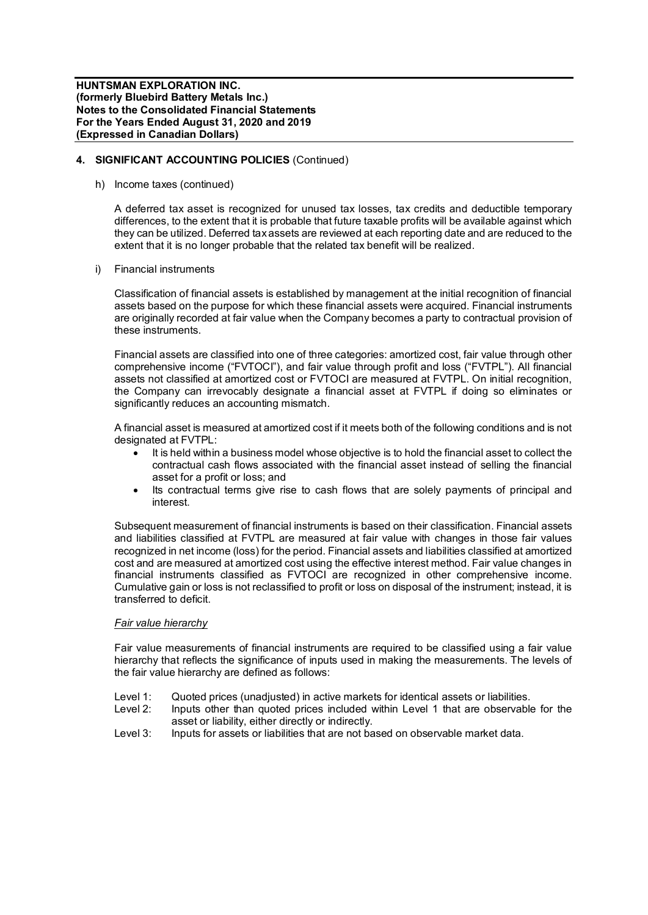## **4. SIGNIFICANT ACCOUNTING POLICIES** (Continued)

h) Income taxes (continued)

A deferred tax asset is recognized for unused tax losses, tax credits and deductible temporary differences, to the extent that it is probable that future taxable profits will be available against which they can be utilized. Deferred tax assets are reviewed at each reporting date and are reduced to the extent that it is no longer probable that the related tax benefit will be realized.

i) Financial instruments

Classification of financial assets is established by management at the initial recognition of financial assets based on the purpose for which these financial assets were acquired. Financial instruments are originally recorded at fair value when the Company becomes a party to contractual provision of these instruments.

Financial assets are classified into one of three categories: amortized cost, fair value through other comprehensive income ("FVTOCI"), and fair value through profit and loss ("FVTPL"). All financial assets not classified at amortized cost or FVTOCI are measured at FVTPL. On initial recognition, the Company can irrevocably designate a financial asset at FVTPL if doing so eliminates or significantly reduces an accounting mismatch.

A financial asset is measured at amortized cost if it meets both of the following conditions and is not designated at FVTPL:

- · It is held within a business model whose objective is to hold the financial asset to collect the contractual cash flows associated with the financial asset instead of selling the financial asset for a profit or loss; and
- Its contractual terms give rise to cash flows that are solely payments of principal and interest.

Subsequent measurement of financial instruments is based on their classification. Financial assets and liabilities classified at FVTPL are measured at fair value with changes in those fair values recognized in net income (loss) for the period. Financial assets and liabilities classified at amortized cost and are measured at amortized cost using the effective interest method. Fair value changes in financial instruments classified as FVTOCI are recognized in other comprehensive income. Cumulative gain or loss is not reclassified to profit or loss on disposal of the instrument; instead, it is transferred to deficit.

## *Fair value hierarchy*

Fair value measurements of financial instruments are required to be classified using a fair value hierarchy that reflects the significance of inputs used in making the measurements. The levels of the fair value hierarchy are defined as follows:

- Level 1: Quoted prices (unadjusted) in active markets for identical assets or liabilities.<br>Level 2: Inputs other than quoted prices included within Level 1 that are observable
- Inputs other than quoted prices included within Level 1 that are observable for the asset or liability, either directly or indirectly.
- Level 3: Inputs for assets or liabilities that are not based on observable market data.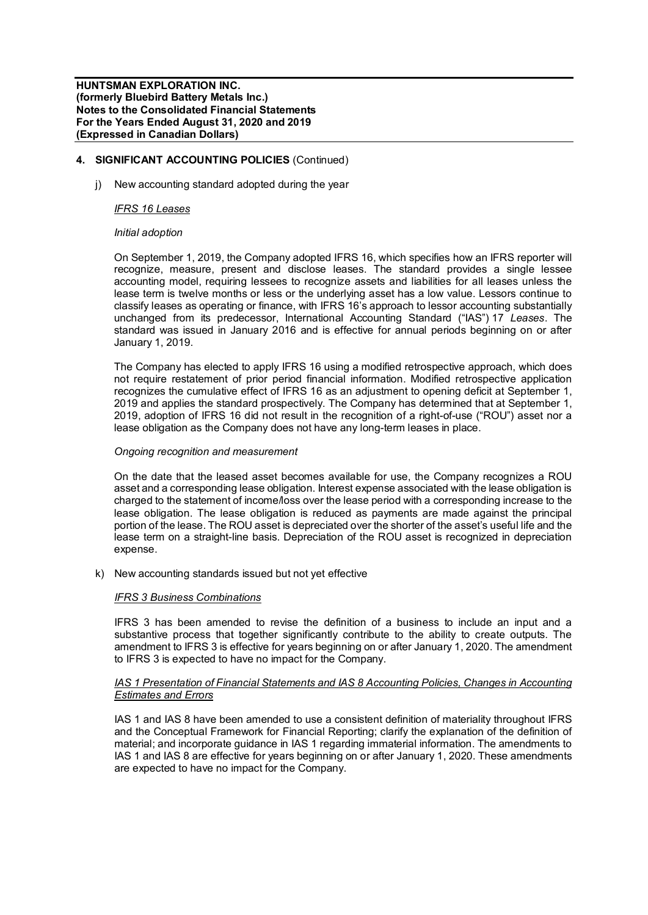# **4. SIGNIFICANT ACCOUNTING POLICIES** (Continued)

j) New accounting standard adopted during the year

## *IFRS 16 Leases*

## *Initial adoption*

On September 1, 2019, the Company adopted IFRS 16, which specifies how an IFRS reporter will recognize, measure, present and disclose leases. The standard provides a single lessee accounting model, requiring lessees to recognize assets and liabilities for all leases unless the lease term is twelve months or less or the underlying asset has a low value. Lessors continue to classify leases as operating or finance, with IFRS 16's approach to lessor accounting substantially unchanged from its predecessor, International Accounting Standard ("IAS") 17 *Leases*. The standard was issued in January 2016 and is effective for annual periods beginning on or after January 1, 2019.

The Company has elected to apply IFRS 16 using a modified retrospective approach, which does not require restatement of prior period financial information. Modified retrospective application recognizes the cumulative effect of IFRS 16 as an adjustment to opening deficit at September 1, 2019 and applies the standard prospectively. The Company has determined that at September 1, 2019, adoption of IFRS 16 did not result in the recognition of a right-of-use ("ROU") asset nor a lease obligation as the Company does not have any long-term leases in place.

## *Ongoing recognition and measurement*

On the date that the leased asset becomes available for use, the Company recognizes a ROU asset and a corresponding lease obligation. Interest expense associated with the lease obligation is charged to the statement of income/loss over the lease period with a corresponding increase to the lease obligation. The lease obligation is reduced as payments are made against the principal portion of the lease. The ROU asset is depreciated over the shorter of the asset's useful life and the lease term on a straight-line basis. Depreciation of the ROU asset is recognized in depreciation expense.

k) New accounting standards issued but not yet effective

# *IFRS 3 Business Combinations*

IFRS 3 has been amended to revise the definition of a business to include an input and a substantive process that together significantly contribute to the ability to create outputs. The amendment to IFRS 3 is effective for years beginning on or after January 1, 2020. The amendment to IFRS 3 is expected to have no impact for the Company.

## *IAS 1 Presentation of Financial Statements and IAS 8 Accounting Policies, Changes in Accounting Estimates and Errors*

IAS 1 and IAS 8 have been amended to use a consistent definition of materiality throughout IFRS and the Conceptual Framework for Financial Reporting; clarify the explanation of the definition of material; and incorporate guidance in IAS 1 regarding immaterial information. The amendments to IAS 1 and IAS 8 are effective for years beginning on or after January 1, 2020. These amendments are expected to have no impact for the Company.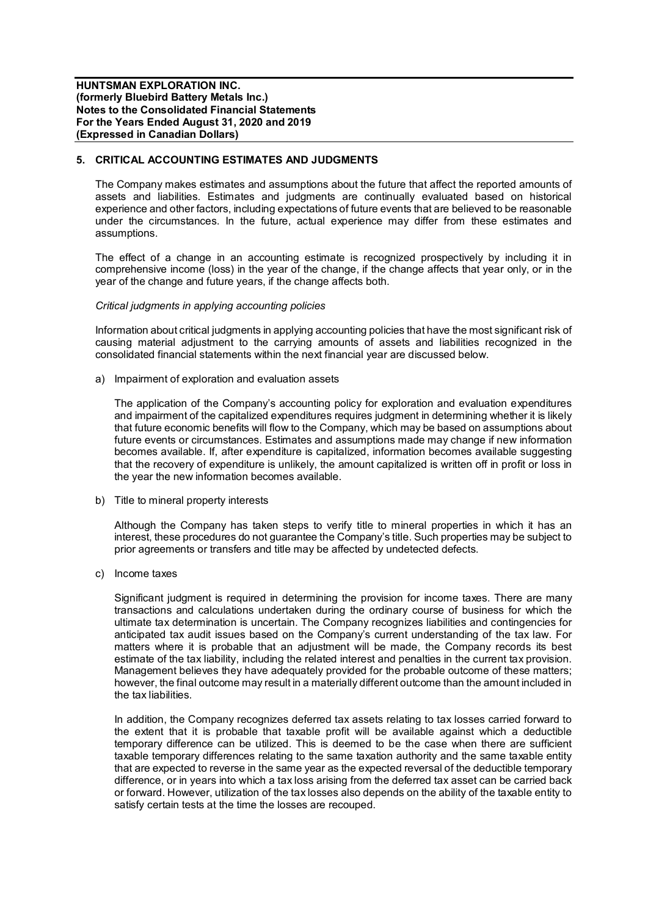## **5. CRITICAL ACCOUNTING ESTIMATES AND JUDGMENTS**

The Company makes estimates and assumptions about the future that affect the reported amounts of assets and liabilities. Estimates and judgments are continually evaluated based on historical experience and other factors, including expectations of future events that are believed to be reasonable under the circumstances. In the future, actual experience may differ from these estimates and assumptions.

The effect of a change in an accounting estimate is recognized prospectively by including it in comprehensive income (loss) in the year of the change, if the change affects that year only, or in the year of the change and future years, if the change affects both.

#### *Critical judgments in applying accounting policies*

Information about critical judgments in applying accounting policies that have the most significant risk of causing material adjustment to the carrying amounts of assets and liabilities recognized in the consolidated financial statements within the next financial year are discussed below.

a) Impairment of exploration and evaluation assets

The application of the Company's accounting policy for exploration and evaluation expenditures and impairment of the capitalized expenditures requires judgment in determining whether it is likely that future economic benefits will flow to the Company, which may be based on assumptions about future events or circumstances. Estimates and assumptions made may change if new information becomes available. If, after expenditure is capitalized, information becomes available suggesting that the recovery of expenditure is unlikely, the amount capitalized is written off in profit or loss in the year the new information becomes available.

b) Title to mineral property interests

Although the Company has taken steps to verify title to mineral properties in which it has an interest, these procedures do not guarantee the Company's title. Such properties may be subject to prior agreements or transfers and title may be affected by undetected defects.

c) Income taxes

Significant judgment is required in determining the provision for income taxes. There are many transactions and calculations undertaken during the ordinary course of business for which the ultimate tax determination is uncertain. The Company recognizes liabilities and contingencies for anticipated tax audit issues based on the Company's current understanding of the tax law. For matters where it is probable that an adjustment will be made, the Company records its best estimate of the tax liability, including the related interest and penalties in the current tax provision. Management believes they have adequately provided for the probable outcome of these matters; however, the final outcome may result in a materially different outcome than the amount included in the tax liabilities.

In addition, the Company recognizes deferred tax assets relating to tax losses carried forward to the extent that it is probable that taxable profit will be available against which a deductible temporary difference can be utilized. This is deemed to be the case when there are sufficient taxable temporary differences relating to the same taxation authority and the same taxable entity that are expected to reverse in the same year as the expected reversal of the deductible temporary difference, or in years into which a tax loss arising from the deferred tax asset can be carried back or forward. However, utilization of the tax losses also depends on the ability of the taxable entity to satisfy certain tests at the time the losses are recouped.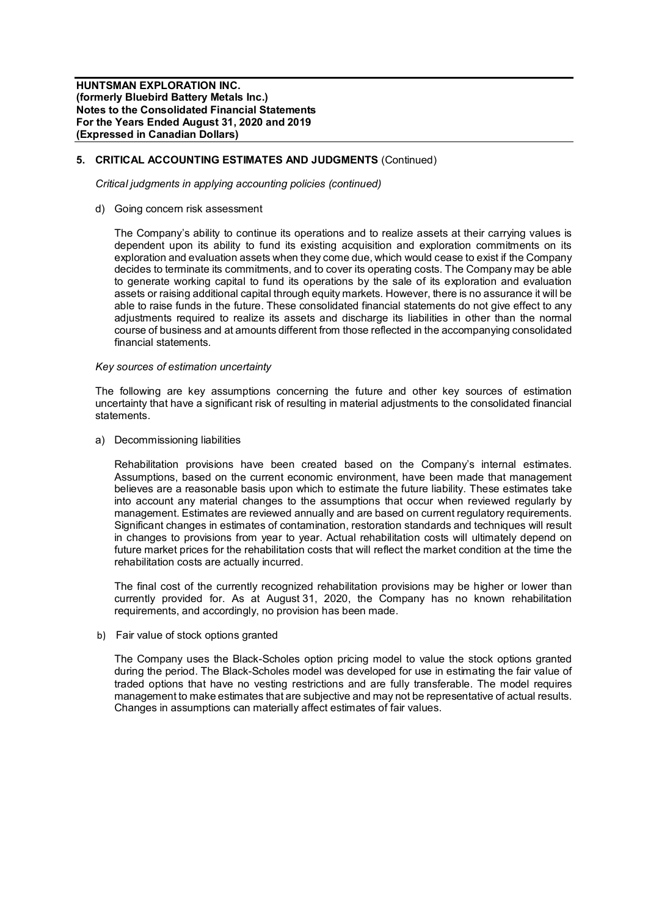# **5. CRITICAL ACCOUNTING ESTIMATES AND JUDGMENTS** (Continued)

*Critical judgments in applying accounting policies (continued)*

d) Going concern risk assessment

The Company's ability to continue its operations and to realize assets at their carrying values is dependent upon its ability to fund its existing acquisition and exploration commitments on its exploration and evaluation assets when they come due, which would cease to exist if the Company decides to terminate its commitments, and to cover its operating costs. The Company may be able to generate working capital to fund its operations by the sale of its exploration and evaluation assets or raising additional capital through equity markets. However, there is no assurance it will be able to raise funds in the future. These consolidated financial statements do not give effect to any adjustments required to realize its assets and discharge its liabilities in other than the normal course of business and at amounts different from those reflected in the accompanying consolidated financial statements.

#### *Key sources of estimation uncertainty*

The following are key assumptions concerning the future and other key sources of estimation uncertainty that have a significant risk of resulting in material adjustments to the consolidated financial statements.

a) Decommissioning liabilities

Rehabilitation provisions have been created based on the Company's internal estimates. Assumptions, based on the current economic environment, have been made that management believes are a reasonable basis upon which to estimate the future liability. These estimates take into account any material changes to the assumptions that occur when reviewed regularly by management. Estimates are reviewed annually and are based on current regulatory requirements. Significant changes in estimates of contamination, restoration standards and techniques will result in changes to provisions from year to year. Actual rehabilitation costs will ultimately depend on future market prices for the rehabilitation costs that will reflect the market condition at the time the rehabilitation costs are actually incurred.

The final cost of the currently recognized rehabilitation provisions may be higher or lower than currently provided for. As at August 31, 2020, the Company has no known rehabilitation requirements, and accordingly, no provision has been made.

b) Fair value of stock options granted

The Company uses the Black-Scholes option pricing model to value the stock options granted during the period. The Black-Scholes model was developed for use in estimating the fair value of traded options that have no vesting restrictions and are fully transferable. The model requires management to make estimates that are subjective and may not be representative of actual results. Changes in assumptions can materially affect estimates of fair values.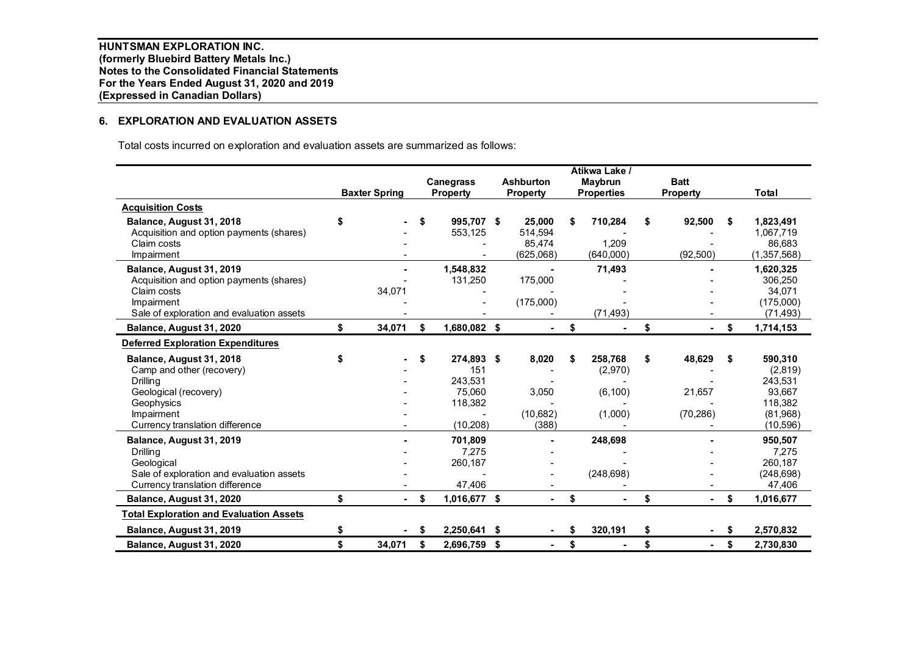# **6. EXPLORATION AND EVALUATION ASSETS**

Total costs incurred on exploration and evaluation assets are summarized as follows:

|                                                |                      |    |                 |     |                  |    | Atikwa Lake /     |                      |    |               |
|------------------------------------------------|----------------------|----|-----------------|-----|------------------|----|-------------------|----------------------|----|---------------|
|                                                |                      |    | Canegrass       |     | <b>Ashburton</b> |    | Maybrun           | <b>Batt</b>          |    |               |
|                                                | <b>Baxter Spring</b> |    | <b>Property</b> |     | <b>Property</b>  |    | <b>Properties</b> | <b>Property</b>      |    | Total         |
| <b>Acquisition Costs</b>                       |                      |    |                 |     |                  |    |                   |                      |    |               |
| Balance, August 31, 2018                       |                      | \$ | 995.707 \$      |     | 25,000           | S  | 710,284           | \$<br>92,500         | \$ | 1,823,491     |
| Acquisition and option payments (shares)       |                      |    | 553,125         |     | 514,594          |    |                   |                      |    | 1,067,719     |
| Claim costs                                    |                      |    |                 |     | 85,474           |    | 1,209             |                      |    | 86,683        |
| Impairment                                     |                      |    |                 |     | (625,068)        |    | (640,000)         | (92, 500)            |    | (1, 357, 568) |
| Balance, August 31, 2019                       |                      |    | 1,548,832       |     |                  |    | 71,493            |                      |    | 1,620,325     |
| Acquisition and option payments (shares)       |                      |    | 131,250         |     | 175,000          |    |                   |                      |    | 306,250       |
| Claim costs                                    | 34,071               |    |                 |     |                  |    |                   |                      |    | 34,071        |
| Impairment                                     |                      |    |                 |     | (175,000)        |    |                   |                      |    | (175,000)     |
| Sale of exploration and evaluation assets      |                      |    |                 |     |                  |    | (71, 493)         |                      |    | (71, 493)     |
| Balance, August 31, 2020                       | \$<br>34,071         | \$ | 1,680,082 \$    |     |                  | \$ |                   | \$                   | \$ | 1,714,153     |
| <b>Deferred Exploration Expenditures</b>       |                      |    |                 |     |                  |    |                   |                      |    |               |
| Balance, August 31, 2018                       |                      | \$ | 274,893 \$      |     | 8,020            | S  | 258,768           | \$<br>48,629         | \$ | 590,310       |
| Camp and other (recovery)                      |                      |    | 151             |     |                  |    | (2,970)           |                      |    | (2,819)       |
| Drillina                                       |                      |    | 243,531         |     |                  |    |                   |                      |    | 243,531       |
| Geological (recovery)                          |                      |    | 75.060          |     | 3,050            |    | (6, 100)          | 21,657               |    | 93,667        |
| Geophysics                                     |                      |    | 118,382         |     |                  |    |                   |                      |    | 118,382       |
| Impairment                                     |                      |    |                 |     | (10,682)         |    | (1,000)           | (70, 286)            |    | (81,968)      |
| Currency translation difference                |                      |    | (10, 208)       |     | (388)            |    |                   |                      |    | (10, 596)     |
| Balance, August 31, 2019                       |                      |    | 701,809         |     |                  |    | 248,698           |                      |    | 950,507       |
| Drilling                                       |                      |    | 7,275           |     |                  |    |                   |                      |    | 7,275         |
| Geological                                     |                      |    | 260,187         |     |                  |    |                   |                      |    | 260,187       |
| Sale of exploration and evaluation assets      |                      |    |                 |     |                  |    | (248, 698)        |                      |    | (248, 698)    |
| Currency translation difference                |                      |    | 47,406          |     |                  |    |                   |                      |    | 47,406        |
| Balance, August 31, 2020                       | \$                   | \$ | 1,016,677 \$    |     | $\blacksquare$   | \$ |                   | \$<br>$\sim$         | \$ | 1,016,677     |
| <b>Total Exploration and Evaluation Assets</b> |                      |    |                 |     |                  |    |                   |                      |    |               |
| Balance, August 31, 2019                       | \$                   | S  | 2,250,641 \$    |     |                  | \$ | 320,191           | \$                   | S  | 2,570,832     |
| Balance, August 31, 2020                       | \$<br>34,071         | \$ | 2.696.759       | -\$ |                  | \$ |                   | \$<br>$\blacksquare$ | \$ | 2.730.830     |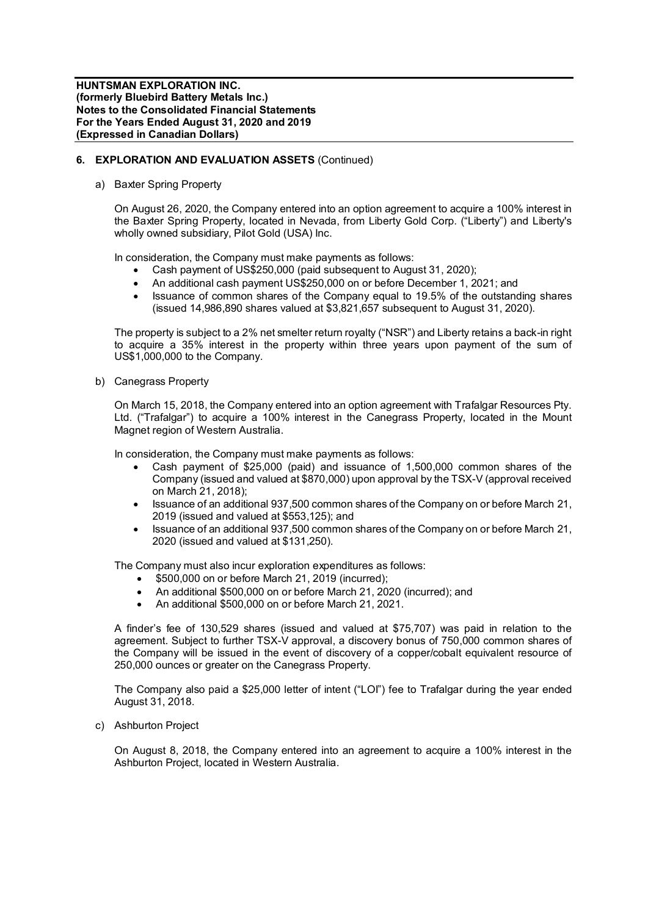## **6. EXPLORATION AND EVALUATION ASSETS** (Continued)

a) Baxter Spring Property

On August 26, 2020, the Company entered into an option agreement to acquire a 100% interest in the Baxter Spring Property, located in Nevada, from Liberty Gold Corp. ("Liberty") and Liberty's wholly owned subsidiary, Pilot Gold (USA) Inc.

In consideration, the Company must make payments as follows:

- Cash payment of US\$250,000 (paid subsequent to August 31, 2020);
- · An additional cash payment US\$250,000 on or before December 1, 2021; and
- · Issuance of common shares of the Company equal to 19.5% of the outstanding shares (issued 14,986,890 shares valued at \$3,821,657 subsequent to August 31, 2020).

The property is subject to a 2% net smelter return royalty ("NSR") and Liberty retains a back-in right to acquire a 35% interest in the property within three years upon payment of the sum of US\$1,000,000 to the Company.

b) Canegrass Property

On March 15, 2018, the Company entered into an option agreement with Trafalgar Resources Pty. Ltd. ("Trafalgar") to acquire a 100% interest in the Canegrass Property, located in the Mount Magnet region of Western Australia.

In consideration, the Company must make payments as follows:

- Cash payment of \$25,000 (paid) and issuance of 1,500,000 common shares of the Company (issued and valued at \$870,000) upon approval by the TSX-V (approval received on March 21, 2018);
- · Issuance of an additional 937,500 common shares of the Company on or before March 21, 2019 (issued and valued at \$553,125); and
- · Issuance of an additional 937,500 common shares of the Company on or before March 21, 2020 (issued and valued at \$131,250).

The Company must also incur exploration expenditures as follows:

- · \$500,000 on or before March 21, 2019 (incurred);
- An additional \$500,000 on or before March 21, 2020 (incurred); and
- · An additional \$500,000 on or before March 21, 2021.

A finder's fee of 130,529 shares (issued and valued at \$75,707) was paid in relation to the agreement. Subject to further TSX-V approval, a discovery bonus of 750,000 common shares of the Company will be issued in the event of discovery of a copper/cobalt equivalent resource of 250,000 ounces or greater on the Canegrass Property.

The Company also paid a \$25,000 letter of intent ("LOI") fee to Trafalgar during the year ended August 31, 2018.

c) Ashburton Project

On August 8, 2018, the Company entered into an agreement to acquire a 100% interest in the Ashburton Project, located in Western Australia.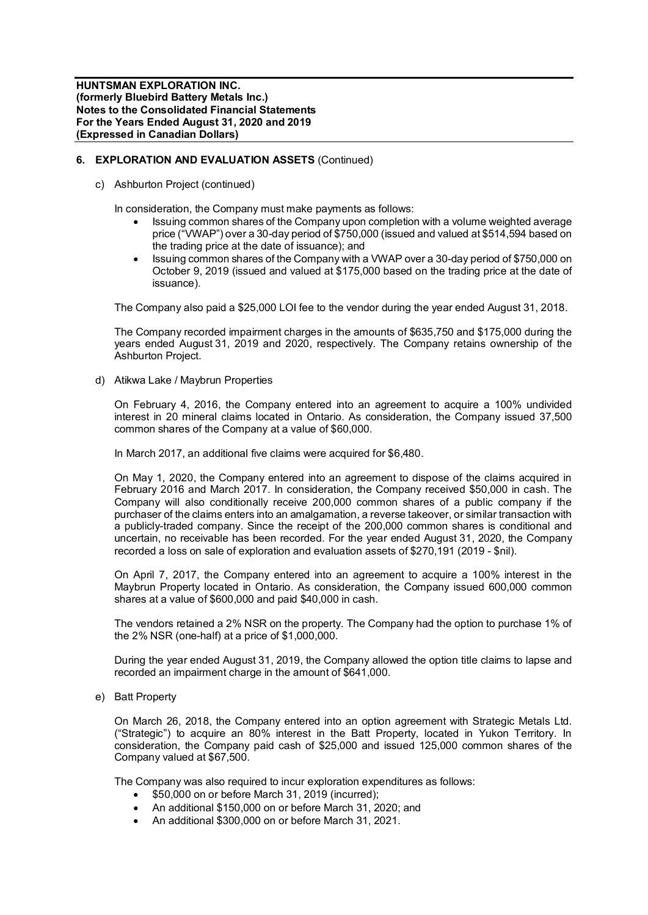## **6. EXPLORATION AND EVALUATION ASSETS** (Continued)

c) Ashburton Project (continued)

In consideration, the Company must make payments as follows:

- Issuing common shares of the Company upon completion with a volume weighted average price ("VWAP") over a 30-day period of \$750,000 (issued and valued at \$514,594 based on the trading price at the date of issuance); and
- · Issuing common shares of the Company with a VWAP over a 30-day period of \$750,000 on October 9, 2019 (issued and valued at \$175,000 based on the trading price at the date of issuance).

The Company also paid a \$25,000 LOI fee to the vendor during the year ended August 31, 2018.

The Company recorded impairment charges in the amounts of \$635,750 and \$175,000 during the years ended August 31, 2019 and 2020, respectively. The Company retains ownership of the Ashburton Project.

d) Atikwa Lake / Maybrun Properties

On February 4, 2016, the Company entered into an agreement to acquire a 100% undivided interest in 20 mineral claims located in Ontario. As consideration, the Company issued 37,500 common shares of the Company at a value of \$60,000.

In March 2017, an additional five claims were acquired for \$6,480.

On May 1, 2020, the Company entered into an agreement to dispose of the claims acquired in February 2016 and March 2017. In consideration, the Company received \$50,000 in cash. The Company will also conditionally receive 200,000 common shares of a public company if the purchaser of the claims enters into an amalgamation, a reverse takeover, or similar transaction with a publicly-traded company. Since the receipt of the 200,000 common shares is conditional and uncertain, no receivable has been recorded. For the year ended August 31, 2020, the Company recorded a loss on sale of exploration and evaluation assets of \$270,191 (2019 - \$nil).

On April 7, 2017, the Company entered into an agreement to acquire a 100% interest in the Maybrun Property located in Ontario. As consideration, the Company issued 600,000 common shares at a value of \$600,000 and paid \$40,000 in cash.

The vendors retained a 2% NSR on the property. The Company had the option to purchase 1% of the 2% NSR (one-half) at a price of \$1,000,000.

During the year ended August 31, 2019, the Company allowed the option title claims to lapse and recorded an impairment charge in the amount of \$641,000.

e) Batt Property

On March 26, 2018, the Company entered into an option agreement with Strategic Metals Ltd. ("Strategic") to acquire an 80% interest in the Batt Property, located in Yukon Territory. In consideration, the Company paid cash of \$25,000 and issued 125,000 common shares of the Company valued at \$67,500.

The Company was also required to incur exploration expenditures as follows:

- · \$50,000 on or before March 31, 2019 (incurred);
- · An additional \$150,000 on or before March 31, 2020; and
- · An additional \$300,000 on or before March 31, 2021.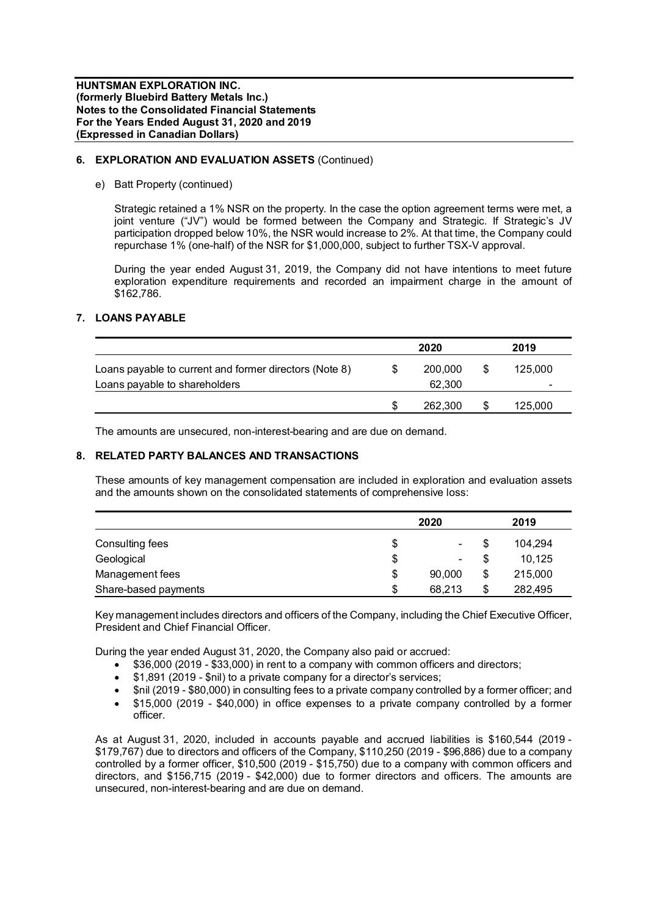## **6. EXPLORATION AND EVALUATION ASSETS** (Continued)

e) Batt Property (continued)

Strategic retained a 1% NSR on the property. In the case the option agreement terms were met, a joint venture ("JV") would be formed between the Company and Strategic. If Strategic's JV participation dropped below 10%, the NSR would increase to 2%. At that time, the Company could repurchase 1% (one-half) of the NSR for \$1,000,000, subject to further TSX-V approval.

During the year ended August 31, 2019, the Company did not have intentions to meet future exploration expenditure requirements and recorded an impairment charge in the amount of \$162,786.

# **7. LOANS PAYABLE**

|                                                        | 2020 |         |     | 2019                     |
|--------------------------------------------------------|------|---------|-----|--------------------------|
| Loans payable to current and former directors (Note 8) |      | 200,000 | \$. | 125.000                  |
| Loans payable to shareholders                          |      | 62.300  |     | $\overline{\phantom{a}}$ |
|                                                        |      | 262,300 |     | 125,000                  |

The amounts are unsecured, non-interest-bearing and are due on demand.

## **8. RELATED PARTY BALANCES AND TRANSACTIONS**

These amounts of key management compensation are included in exploration and evaluation assets and the amounts shown on the consolidated statements of comprehensive loss:

|                      | 2020         | 2019          |
|----------------------|--------------|---------------|
| Consulting fees      | \$<br>۰.     | \$<br>104.294 |
| Geological           | \$<br>۰.     | 10.125        |
| Management fees      | \$<br>90,000 | \$<br>215,000 |
| Share-based payments | \$<br>68.213 | \$<br>282.495 |

Key management includes directors and officers of the Company, including the Chief Executive Officer, President and Chief Financial Officer.

During the year ended August 31, 2020, the Company also paid or accrued:

- · \$36,000 (2019 \$33,000) in rent to a company with common officers and directors;
- · \$1,891 (2019 \$nil) to a private company for a director's services;
- · \$nil (2019 \$80,000) in consulting fees to a private company controlled by a former officer; and
- · \$15,000 (2019 \$40,000) in office expenses to a private company controlled by a former officer.

As at August 31, 2020, included in accounts payable and accrued liabilities is \$160,544 (2019 - \$179,767) due to directors and officers of the Company, \$110,250 (2019 - \$96,886) due to a company controlled by a former officer, \$10,500 (2019 - \$15,750) due to a company with common officers and directors, and \$156,715 (2019 - \$42,000) due to former directors and officers. The amounts are unsecured, non-interest-bearing and are due on demand.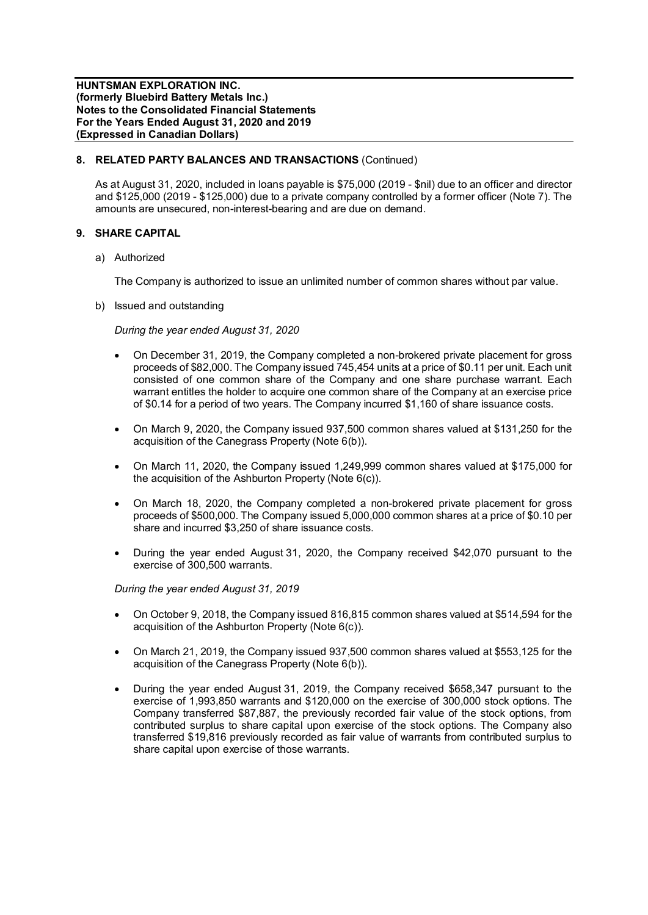## **8. RELATED PARTY BALANCES AND TRANSACTIONS** (Continued)

As at August 31, 2020, included in loans payable is \$75,000 (2019 - \$nil) due to an officer and director and \$125,000 (2019 - \$125,000) due to a private company controlled by a former officer (Note 7). The amounts are unsecured, non-interest-bearing and are due on demand.

# **9. SHARE CAPITAL**

a) Authorized

The Company is authorized to issue an unlimited number of common shares without par value.

b) Issued and outstanding

# *During the year ended August 31, 2020*

- · On December 31, 2019, the Company completed a non-brokered private placement for gross proceeds of \$82,000. The Company issued 745,454 units at a price of \$0.11 per unit. Each unit consisted of one common share of the Company and one share purchase warrant. Each warrant entitles the holder to acquire one common share of the Company at an exercise price of \$0.14 for a period of two years. The Company incurred \$1,160 of share issuance costs.
- · On March 9, 2020, the Company issued 937,500 common shares valued at \$131,250 for the acquisition of the Canegrass Property (Note 6(b)).
- · On March 11, 2020, the Company issued 1,249,999 common shares valued at \$175,000 for the acquisition of the Ashburton Property (Note 6(c)).
- · On March 18, 2020, the Company completed a non-brokered private placement for gross proceeds of \$500,000. The Company issued 5,000,000 common shares at a price of \$0.10 per share and incurred \$3,250 of share issuance costs.
- · During the year ended August 31, 2020, the Company received \$42,070 pursuant to the exercise of 300,500 warrants.

*During the year ended August 31, 2019*

- · On October 9, 2018, the Company issued 816,815 common shares valued at \$514,594 for the acquisition of the Ashburton Property (Note 6(c)).
- · On March 21, 2019, the Company issued 937,500 common shares valued at \$553,125 for the acquisition of the Canegrass Property (Note 6(b)).
- · During the year ended August 31, 2019, the Company received \$658,347 pursuant to the exercise of 1,993,850 warrants and \$120,000 on the exercise of 300,000 stock options. The Company transferred \$87,887, the previously recorded fair value of the stock options, from contributed surplus to share capital upon exercise of the stock options. The Company also transferred \$19,816 previously recorded as fair value of warrants from contributed surplus to share capital upon exercise of those warrants.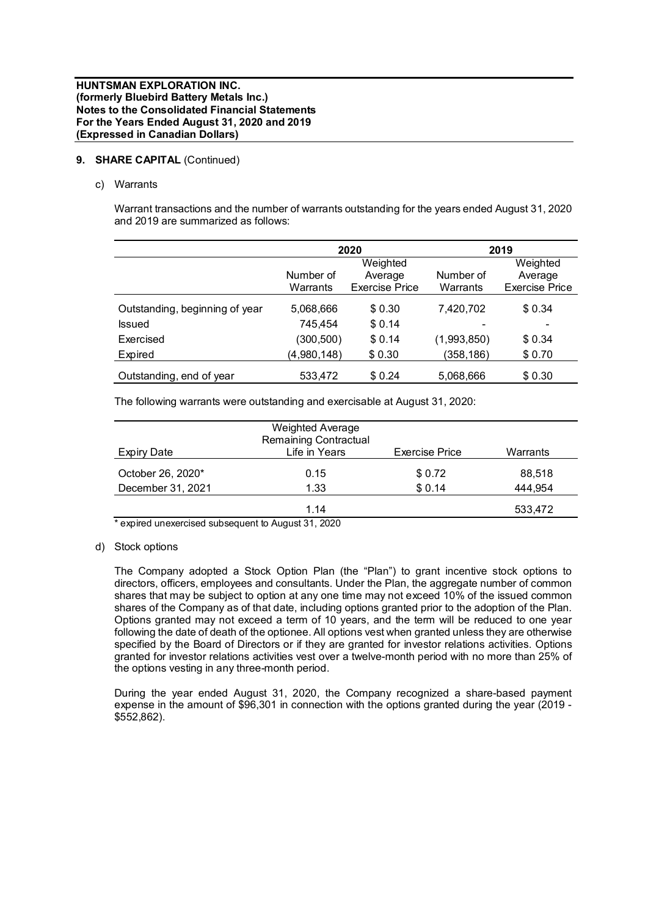# **9. SHARE CAPITAL** (Continued)

c) Warrants

Warrant transactions and the number of warrants outstanding for the years ended August 31, 2020 and 2019 are summarized as follows:

|                                |             | 2020                  | 2019        |                       |  |
|--------------------------------|-------------|-----------------------|-------------|-----------------------|--|
|                                |             | Weighted              |             | Weighted              |  |
|                                | Number of   | Average               | Number of   | Average               |  |
|                                | Warrants    | <b>Exercise Price</b> | Warrants    | <b>Exercise Price</b> |  |
| Outstanding, beginning of year | 5,068,666   | \$0.30                | 7,420,702   | \$0.34                |  |
| <b>Issued</b>                  | 745.454     | \$0.14                |             |                       |  |
| Exercised                      | (300, 500)  | \$0.14                | (1,993,850) | \$0.34                |  |
| Expired                        | (4,980,148) | \$0.30                | (358, 186)  | \$0.70                |  |
| Outstanding, end of year       | 533,472     | \$0.24                | 5,068,666   | \$0.30                |  |

The following warrants were outstanding and exercisable at August 31, 2020:

| <b>Expiry Date</b> | <b>Weighted Average</b><br><b>Remaining Contractual</b><br>Life in Years | <b>Exercise Price</b> | Warrants |
|--------------------|--------------------------------------------------------------------------|-----------------------|----------|
| October 26, 2020*  | 0.15                                                                     | \$0.72                | 88,518   |
| December 31, 2021  | 1.33                                                                     | \$0.14                | 444,954  |
| $\mathbf{r}$       | 1.14                                                                     |                       | 533,472  |

\* expired unexercised subsequent to August 31, 2020

d) Stock options

The Company adopted a Stock Option Plan (the "Plan") to grant incentive stock options to directors, officers, employees and consultants. Under the Plan, the aggregate number of common shares that may be subject to option at any one time may not exceed 10% of the issued common shares of the Company as of that date, including options granted prior to the adoption of the Plan. Options granted may not exceed a term of 10 years, and the term will be reduced to one year following the date of death of the optionee. All options vest when granted unless they are otherwise specified by the Board of Directors or if they are granted for investor relations activities. Options granted for investor relations activities vest over a twelve-month period with no more than 25% of the options vesting in any three-month period.

During the year ended August 31, 2020, the Company recognized a share-based payment expense in the amount of \$96,301 in connection with the options granted during the year (2019 - \$552,862).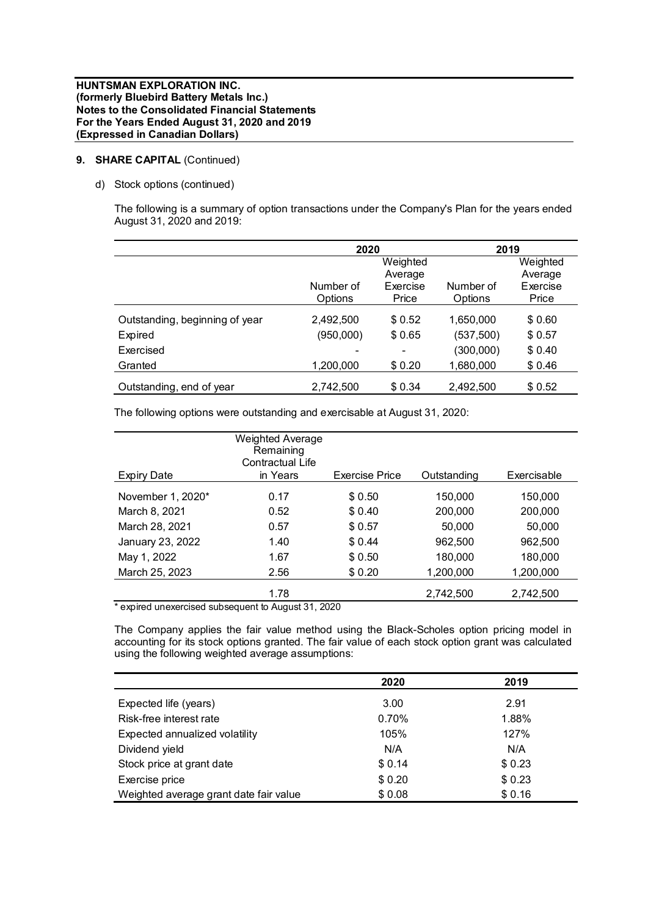# **9. SHARE CAPITAL** (Continued)

d) Stock options (continued)

The following is a summary of option transactions under the Company's Plan for the years ended August 31, 2020 and 2019:

|                                | 2020                        |                   | 2019                 |                   |  |
|--------------------------------|-----------------------------|-------------------|----------------------|-------------------|--|
|                                |                             | Weighted          |                      | Weighted          |  |
|                                |                             | Average           |                      | Average           |  |
|                                | Number of<br><b>Options</b> | Exercise<br>Price | Number of<br>Options | Exercise<br>Price |  |
| Outstanding, beginning of year | 2,492,500                   | \$0.52            | 1,650,000            | \$0.60            |  |
| Expired                        | (950,000)                   | \$0.65            | (537, 500)           | \$0.57            |  |
| Exercised                      |                             | ۰                 | (300,000)            | \$0.40            |  |
| Granted                        | 1,200,000                   | \$0.20            | 1,680,000            | \$0.46            |  |
| Outstanding, end of year       | 2,742,500                   | \$0.34            | 2,492,500            | \$0.52            |  |

The following options were outstanding and exercisable at August 31, 2020:

|                    | <b>Weighted Average</b><br>Remaining<br>Contractual Life |                |             |             |
|--------------------|----------------------------------------------------------|----------------|-------------|-------------|
| <b>Expiry Date</b> | in Years                                                 | Exercise Price | Outstanding | Exercisable |
| November 1, 2020*  | 0.17                                                     | \$0.50         | 150,000     | 150,000     |
| March 8, 2021      | 0.52                                                     | \$0.40         | 200,000     | 200,000     |
| March 28, 2021     | 0.57                                                     | \$0.57         | 50,000      | 50,000      |
| January 23, 2022   | 1.40                                                     | \$0.44         | 962.500     | 962,500     |
| May 1, 2022        | 1.67                                                     | \$0.50         | 180,000     | 180,000     |
| March 25, 2023     | 2.56                                                     | \$0.20         | 1,200,000   | 1,200,000   |
|                    | 1.78                                                     |                | 2,742,500   | 2,742,500   |

expired unexercised subsequent to August 31, 2020

The Company applies the fair value method using the Black-Scholes option pricing model in accounting for its stock options granted. The fair value of each stock option grant was calculated using the following weighted average assumptions:

|                                        | 2020   | 2019   |
|----------------------------------------|--------|--------|
| Expected life (years)                  | 3.00   | 2.91   |
| Risk-free interest rate                | 0.70%  | 1.88%  |
| Expected annualized volatility         | 105%   | 127%   |
| Dividend yield                         | N/A    | N/A    |
| Stock price at grant date              | \$0.14 | \$0.23 |
| Exercise price                         | \$0.20 | \$0.23 |
| Weighted average grant date fair value | \$0.08 | \$0.16 |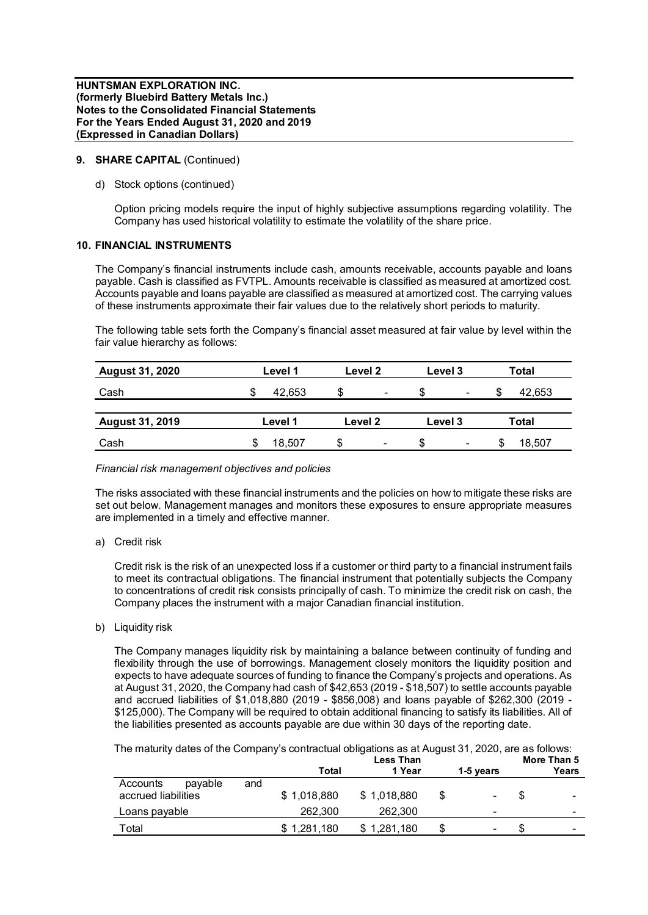# **9. SHARE CAPITAL** (Continued)

d) Stock options (continued)

Option pricing models require the input of highly subjective assumptions regarding volatility. The Company has used historical volatility to estimate the volatility of the share price.

## **10. FINANCIAL INSTRUMENTS**

The Company's financial instruments include cash, amounts receivable, accounts payable and loans payable. Cash is classified as FVTPL. Amounts receivable is classified as measured at amortized cost. Accounts payable and loans payable are classified as measured at amortized cost. The carrying values of these instruments approximate their fair values due to the relatively short periods to maturity.

The following table sets forth the Company's financial asset measured at fair value by level within the fair value hierarchy as follows:

| <b>August 31, 2020</b> | Level 1     | Level 2                        | Level 3                        | <b>Total</b> |  |
|------------------------|-------------|--------------------------------|--------------------------------|--------------|--|
| Cash                   | 42.653<br>ง | \$<br>$\overline{\phantom{a}}$ | \$<br>$\overline{\phantom{a}}$ | 42,653       |  |
| <b>August 31, 2019</b> | Level 1     | Level 2                        | Level 3                        | <b>Total</b> |  |
| Cash                   | 18.507      | S<br>$\blacksquare$            | \$<br>$\blacksquare$           | 18,507       |  |

## *Financial risk management objectives and policies*

The risks associated with these financial instruments and the policies on how to mitigate these risks are set out below. Management manages and monitors these exposures to ensure appropriate measures are implemented in a timely and effective manner.

a) Credit risk

Credit risk is the risk of an unexpected loss if a customer or third party to a financial instrument fails to meet its contractual obligations. The financial instrument that potentially subjects the Company to concentrations of credit risk consists principally of cash. To minimize the credit risk on cash, the Company places the instrument with a major Canadian financial institution.

b) Liquidity risk

The Company manages liquidity risk by maintaining a balance between continuity of funding and flexibility through the use of borrowings. Management closely monitors the liquidity position and expects to have adequate sources of funding to finance the Company's projects and operations. As at August 31, 2020, the Company had cash of \$42,653 (2019 - \$18,507) to settle accounts payable and accrued liabilities of \$1,018,880 (2019 - \$856,008) and loans payable of \$262,300 (2019 - \$125,000). The Company will be required to obtain additional financing to satisfy its liabilities. All of the liabilities presented as accounts payable are due within 30 days of the reporting date.

The maturity dates of the Company's contractual obligations as at August 31, 2020, are as follows:

|                     |     |             | <b>Less Than</b> |                          |     | More Than 5 |
|---------------------|-----|-------------|------------------|--------------------------|-----|-------------|
|                     |     | Total       | 1 Year           | 1-5 years                |     | Years       |
| pavable<br>Accounts | and |             |                  |                          |     |             |
| accrued liabilities |     | \$1,018,880 | \$1,018,880      | ۰                        | \$. | -           |
| Loans payable       |     | 262,300     | 262.300          | $\overline{\phantom{0}}$ |     | -           |
| Total               |     | \$1,281,180 | \$1,281,180      | \$<br>۰                  |     | -           |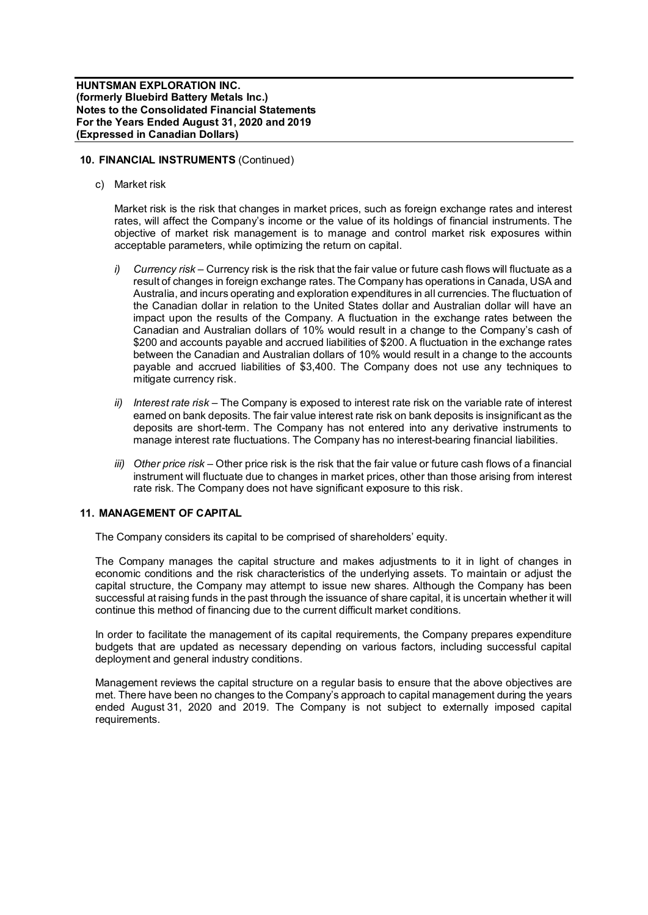## **10. FINANCIAL INSTRUMENTS** (Continued)

c) Market risk

Market risk is the risk that changes in market prices, such as foreign exchange rates and interest rates, will affect the Company's income or the value of its holdings of financial instruments. The objective of market risk management is to manage and control market risk exposures within acceptable parameters, while optimizing the return on capital.

- *i) Currency risk –* Currency risk is the risk that the fair value or future cash flows will fluctuate as a result of changes in foreign exchange rates. The Company has operations in Canada, USA and Australia, and incurs operating and exploration expenditures in all currencies. The fluctuation of the Canadian dollar in relation to the United States dollar and Australian dollar will have an impact upon the results of the Company. A fluctuation in the exchange rates between the Canadian and Australian dollars of 10% would result in a change to the Company's cash of \$200 and accounts payable and accrued liabilities of \$200. A fluctuation in the exchange rates between the Canadian and Australian dollars of 10% would result in a change to the accounts payable and accrued liabilities of \$3,400. The Company does not use any techniques to mitigate currency risk.
- *ii) Interest rate risk –* The Company is exposed to interest rate risk on the variable rate of interest earned on bank deposits. The fair value interest rate risk on bank deposits is insignificant as the deposits are short-term. The Company has not entered into any derivative instruments to manage interest rate fluctuations. The Company has no interest-bearing financial liabilities.
- *iii) Other price risk –* Other price risk is the risk that the fair value or future cash flows of a financial instrument will fluctuate due to changes in market prices, other than those arising from interest rate risk. The Company does not have significant exposure to this risk.

# **11. MANAGEMENT OF CAPITAL**

The Company considers its capital to be comprised of shareholders' equity.

The Company manages the capital structure and makes adjustments to it in light of changes in economic conditions and the risk characteristics of the underlying assets. To maintain or adjust the capital structure, the Company may attempt to issue new shares. Although the Company has been successful at raising funds in the past through the issuance of share capital, it is uncertain whether it will continue this method of financing due to the current difficult market conditions.

In order to facilitate the management of its capital requirements, the Company prepares expenditure budgets that are updated as necessary depending on various factors, including successful capital deployment and general industry conditions.

Management reviews the capital structure on a regular basis to ensure that the above objectives are met. There have been no changes to the Company's approach to capital management during the years ended August 31, 2020 and 2019. The Company is not subject to externally imposed capital requirements.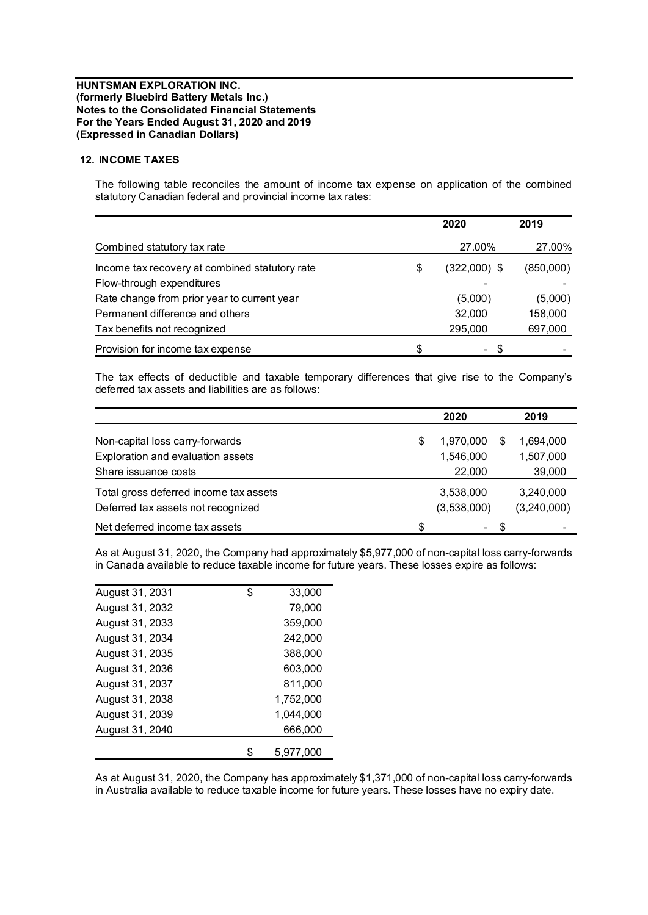## **12. INCOME TAXES**

The following table reconciles the amount of income tax expense on application of the combined statutory Canadian federal and provincial income tax rates:

|                                                | 2020               | 2019      |
|------------------------------------------------|--------------------|-----------|
| Combined statutory tax rate                    | 27.00%             | 27.00%    |
| Income tax recovery at combined statutory rate | \$<br>(322,000) \$ | (850,000) |
| Flow-through expenditures                      |                    |           |
| Rate change from prior year to current year    | (5,000)            | (5,000)   |
| Permanent difference and others                | 32,000             | 158,000   |
| Tax benefits not recognized                    | 295,000            | 697,000   |
| Provision for income tax expense               | \$<br>S            |           |

The tax effects of deductible and taxable temporary differences that give rise to the Company's deferred tax assets and liabilities are as follows:

|                                        |   | 2020        |     | 2019        |  |
|----------------------------------------|---|-------------|-----|-------------|--|
| Non-capital loss carry-forwards        | S | 1,970,000   | S   | 1,694,000   |  |
| Exploration and evaluation assets      |   | 1,546,000   |     | 1,507,000   |  |
| Share issuance costs                   |   | 22,000      |     | 39,000      |  |
| Total gross deferred income tax assets |   | 3,538,000   |     | 3,240,000   |  |
| Deferred tax assets not recognized     |   | (3,538,000) |     | (3,240,000) |  |
| Net deferred income tax assets         | S | ۰           | -SS |             |  |

As at August 31, 2020, the Company had approximately \$5,977,000 of non-capital loss carry-forwards in Canada available to reduce taxable income for future years. These losses expire as follows:

| August 31, 2031 | \$<br>33,000    |
|-----------------|-----------------|
| August 31, 2032 | 79,000          |
| August 31, 2033 | 359,000         |
| August 31, 2034 | 242,000         |
| August 31, 2035 | 388,000         |
| August 31, 2036 | 603,000         |
| August 31, 2037 | 811,000         |
| August 31, 2038 | 1,752,000       |
| August 31, 2039 | 1.044.000       |
| August 31, 2040 | 666,000         |
|                 | \$<br>5.977.000 |

As at August 31, 2020, the Company has approximately \$1,371,000 of non-capital loss carry-forwards in Australia available to reduce taxable income for future years. These losses have no expiry date.